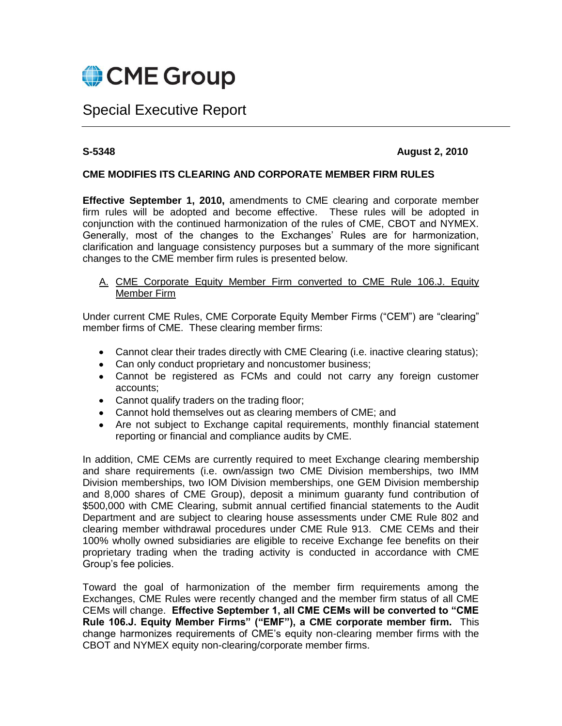

# Special Executive Report

# **S-5348 August 2, 2010**

# **CME MODIFIES ITS CLEARING AND CORPORATE MEMBER FIRM RULES**

**Effective September 1, 2010,** amendments to CME clearing and corporate member firm rules will be adopted and become effective. These rules will be adopted in conjunction with the continued harmonization of the rules of CME, CBOT and NYMEX. Generally, most of the changes to the Exchanges' Rules are for harmonization, clarification and language consistency purposes but a summary of the more significant changes to the CME member firm rules is presented below.

A. CME Corporate Equity Member Firm converted to CME Rule 106.J. Equity Member Firm

Under current CME Rules, CME Corporate Equity Member Firms ("CEM") are "clearing" member firms of CME. These clearing member firms:

- Cannot clear their trades directly with CME Clearing (i.e. inactive clearing status);
- Can only conduct proprietary and noncustomer business;
- Cannot be registered as FCMs and could not carry any foreign customer accounts;
- Cannot qualify traders on the trading floor;
- Cannot hold themselves out as clearing members of CME; and
- Are not subject to Exchange capital requirements, monthly financial statement reporting or financial and compliance audits by CME.

In addition, CME CEMs are currently required to meet Exchange clearing membership and share requirements (i.e. own/assign two CME Division memberships, two IMM Division memberships, two IOM Division memberships, one GEM Division membership and 8,000 shares of CME Group), deposit a minimum guaranty fund contribution of \$500,000 with CME Clearing, submit annual certified financial statements to the Audit Department and are subject to clearing house assessments under CME Rule 802 and clearing member withdrawal procedures under CME Rule 913. CME CEMs and their 100% wholly owned subsidiaries are eligible to receive Exchange fee benefits on their proprietary trading when the trading activity is conducted in accordance with CME Group's fee policies.

Toward the goal of harmonization of the member firm requirements among the Exchanges, CME Rules were recently changed and the member firm status of all CME CEMs will change. **Effective September 1, all CME CEMs will be converted to "CME Rule 106.J. Equity Member Firms" ("EMF"), a CME corporate member firm.** This change harmonizes requirements of CME's equity non-clearing member firms with the CBOT and NYMEX equity non-clearing/corporate member firms.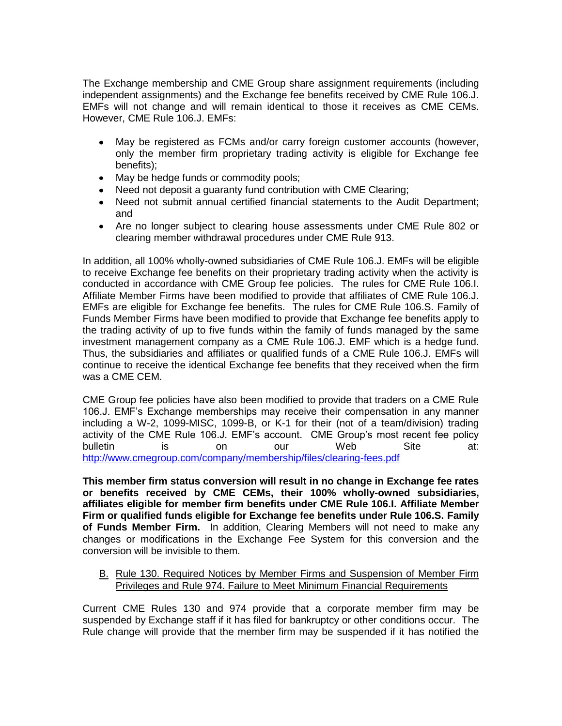The Exchange membership and CME Group share assignment requirements (including independent assignments) and the Exchange fee benefits received by CME Rule 106.J. EMFs will not change and will remain identical to those it receives as CME CEMs. However, CME Rule 106.J. EMFs:

- May be registered as FCMs and/or carry foreign customer accounts (however,  $\bullet$ only the member firm proprietary trading activity is eligible for Exchange fee benefits);
- May be hedge funds or commodity pools;
- Need not deposit a guaranty fund contribution with CME Clearing;
- Need not submit annual certified financial statements to the Audit Department; and
- Are no longer subject to clearing house assessments under CME Rule 802 or clearing member withdrawal procedures under CME Rule 913.

In addition, all 100% wholly-owned subsidiaries of CME Rule 106.J. EMFs will be eligible to receive Exchange fee benefits on their proprietary trading activity when the activity is conducted in accordance with CME Group fee policies. The rules for CME Rule 106.I. Affiliate Member Firms have been modified to provide that affiliates of CME Rule 106.J. EMFs are eligible for Exchange fee benefits. The rules for CME Rule 106.S. Family of Funds Member Firms have been modified to provide that Exchange fee benefits apply to the trading activity of up to five funds within the family of funds managed by the same investment management company as a CME Rule 106.J. EMF which is a hedge fund. Thus, the subsidiaries and affiliates or qualified funds of a CME Rule 106.J. EMFs will continue to receive the identical Exchange fee benefits that they received when the firm was a CME CEM.

CME Group fee policies have also been modified to provide that traders on a CME Rule 106.J. EMF's Exchange memberships may receive their compensation in any manner including a W-2, 1099-MISC, 1099-B, or K-1 for their (not of a team/division) trading activity of the CME Rule 106.J. EMF's account. CME Group's most recent fee policy bulletin is on our Web Site at: <http://www.cmegroup.com/company/membership/files/clearing-fees.pdf>

**This member firm status conversion will result in no change in Exchange fee rates or benefits received by CME CEMs, their 100% wholly-owned subsidiaries, affiliates eligible for member firm benefits under CME Rule 106.I. Affiliate Member Firm or qualified funds eligible for Exchange fee benefits under Rule 106.S. Family of Funds Member Firm.** In addition, Clearing Members will not need to make any changes or modifications in the Exchange Fee System for this conversion and the conversion will be invisible to them.

# B. Rule 130. Required Notices by Member Firms and Suspension of Member Firm Privileges and Rule 974. Failure to Meet Minimum Financial Requirements

Current CME Rules 130 and 974 provide that a corporate member firm may be suspended by Exchange staff if it has filed for bankruptcy or other conditions occur. The Rule change will provide that the member firm may be suspended if it has notified the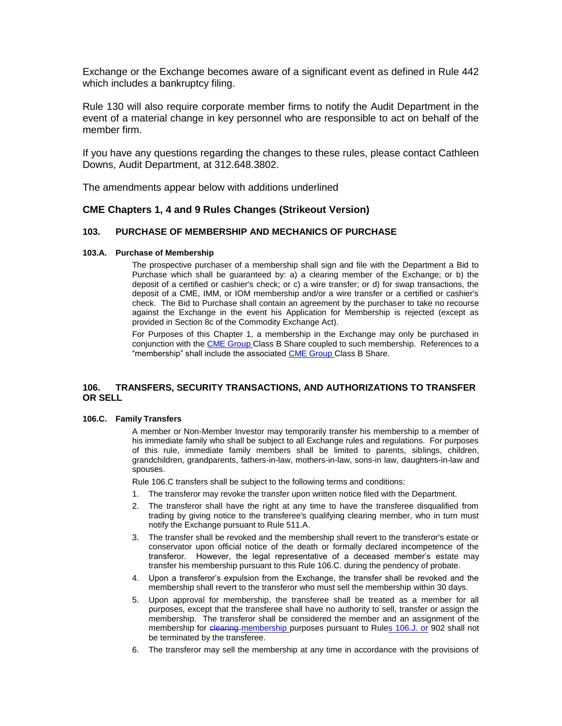Exchange or the Exchange becomes aware of a significant event as defined in Rule 442 which includes a bankruptcy filing.

Rule 130 will also require corporate member firms to notify the Audit Department in the event of a material change in key personnel who are responsible to act on behalf of the member firm.

If you have any questions regarding the changes to these rules, please contact Cathleen Downs, Audit Department, at 312.648.3802.

The amendments appear below with additions underlined

# **CME Chapters 1, 4 and 9 Rules Changes (Strikeout Version)**

# **103. PURCHASE OF MEMBERSHIP AND MECHANICS OF PURCHASE**

### **103.A. Purchase of Membership**

The prospective purchaser of a membership shall sign and file with the Department a Bid to Purchase which shall be guaranteed by: a) a clearing member of the Exchange; or b) the deposit of a certified or cashier's check; or c) a wire transfer; or d) for swap transactions, the deposit of a CME, IMM, or IOM membership and/or a wire transfer or a certified or cashier's check. The Bid to Purchase shall contain an agreement by the purchaser to take no recourse against the Exchange in the event his Application for Membership is rejected (except as provided in Section 8c of the Commodity Exchange Act).

For Purposes of this Chapter 1, a membership in the Exchange may only be purchased in conjunction with the CME Group Class B Share coupled to such membership. References to a "membership" shall include the associated CME Group Class B Share.

# **106. TRANSFERS, SECURITY TRANSACTIONS, AND AUTHORIZATIONS TO TRANSFER OR SELL**

### **106.C. Family Transfers**

A member or Non-Member Investor may temporarily transfer his membership to a member of his immediate family who shall be subject to all Exchange rules and regulations. For purposes of this rule, immediate family members shall be limited to parents, siblings, children, grandchildren, grandparents, fathers-in-law, mothers-in-law, sons-in law, daughters-in-law and spouses.

Rule 106.C transfers shall be subject to the following terms and conditions:

- 1. The transferor may revoke the transfer upon written notice filed with the Department.
- 2. The transferor shall have the right at any time to have the transferee disqualified from trading by giving notice to the transferee's qualifying clearing member, who in turn must notify the Exchange pursuant to Rule 511.A.
- 3. The transfer shall be revoked and the membership shall revert to the transferor's estate or conservator upon official notice of the death or formally declared incompetence of the transferor. However, the legal representative of a deceased member's estate may transfer his membership pursuant to this Rule 106.C. during the pendency of probate.
- 4. Upon a transferor's expulsion from the Exchange, the transfer shall be revoked and the membership shall revert to the transferor who must sell the membership within 30 days.
- 5. Upon approval for membership, the transferee shall be treated as a member for all purposes, except that the transferee shall have no authority to sell, transfer or assign the membership. The transferor shall be considered the member and an assignment of the membership for clearing membership purposes pursuant to Rules 106.J. or 902 shall not be terminated by the transferee.
- 6. The transferor may sell the membership at any time in accordance with the provisions of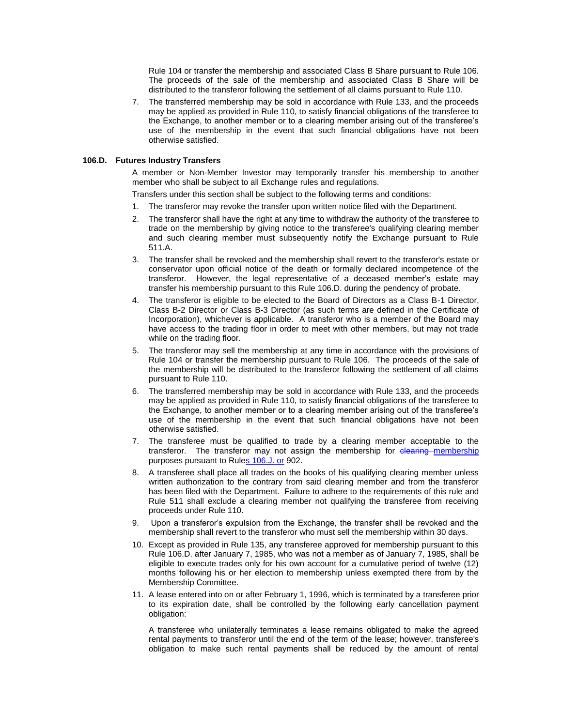Rule 104 or transfer the membership and associated Class B Share pursuant to Rule 106. The proceeds of the sale of the membership and associated Class B Share will be distributed to the transferor following the settlement of all claims pursuant to Rule 110.

7. The transferred membership may be sold in accordance with Rule 133, and the proceeds may be applied as provided in Rule 110, to satisfy financial obligations of the transferee to the Exchange, to another member or to a clearing member arising out of the transferee's use of the membership in the event that such financial obligations have not been otherwise satisfied.

### **106.D. Futures Industry Transfers**

A member or Non-Member Investor may temporarily transfer his membership to another member who shall be subject to all Exchange rules and regulations.

Transfers under this section shall be subject to the following terms and conditions:

- 1. The transferor may revoke the transfer upon written notice filed with the Department.
- 2. The transferor shall have the right at any time to withdraw the authority of the transferee to trade on the membership by giving notice to the transferee's qualifying clearing member and such clearing member must subsequently notify the Exchange pursuant to Rule 511.A.
- 3. The transfer shall be revoked and the membership shall revert to the transferor's estate or conservator upon official notice of the death or formally declared incompetence of the transferor. However, the legal representative of a deceased member's estate may transfer his membership pursuant to this Rule 106.D. during the pendency of probate.
- 4. The transferor is eligible to be elected to the Board of Directors as a Class B-1 Director, Class B-2 Director or Class B-3 Director (as such terms are defined in the Certificate of Incorporation), whichever is applicable. A transferor who is a member of the Board may have access to the trading floor in order to meet with other members, but may not trade while on the trading floor.
- 5. The transferor may sell the membership at any time in accordance with the provisions of Rule 104 or transfer the membership pursuant to Rule 106. The proceeds of the sale of the membership will be distributed to the transferor following the settlement of all claims pursuant to Rule 110.
- 6. The transferred membership may be sold in accordance with Rule 133, and the proceeds may be applied as provided in Rule 110, to satisfy financial obligations of the transferee to the Exchange, to another member or to a clearing member arising out of the transferee's use of the membership in the event that such financial obligations have not been otherwise satisfied.
- 7. The transferee must be qualified to trade by a clearing member acceptable to the transferor. The transferor may not assign the membership for clearing membership purposes pursuant to Rules 106.J. or 902.
- 8. A transferee shall place all trades on the books of his qualifying clearing member unless written authorization to the contrary from said clearing member and from the transferor has been filed with the Department. Failure to adhere to the requirements of this rule and Rule 511 shall exclude a clearing member not qualifying the transferee from receiving proceeds under Rule 110.
- 9. Upon a transferor's expulsion from the Exchange, the transfer shall be revoked and the membership shall revert to the transferor who must sell the membership within 30 days.
- 10. Except as provided in Rule 135, any transferee approved for membership pursuant to this Rule 106.D. after January 7, 1985, who was not a member as of January 7, 1985, shall be eligible to execute trades only for his own account for a cumulative period of twelve (12) months following his or her election to membership unless exempted there from by the Membership Committee.
- 11. A lease entered into on or after February 1, 1996, which is terminated by a transferee prior to its expiration date, shall be controlled by the following early cancellation payment obligation:

A transferee who unilaterally terminates a lease remains obligated to make the agreed rental payments to transferor until the end of the term of the lease; however, transferee's obligation to make such rental payments shall be reduced by the amount of rental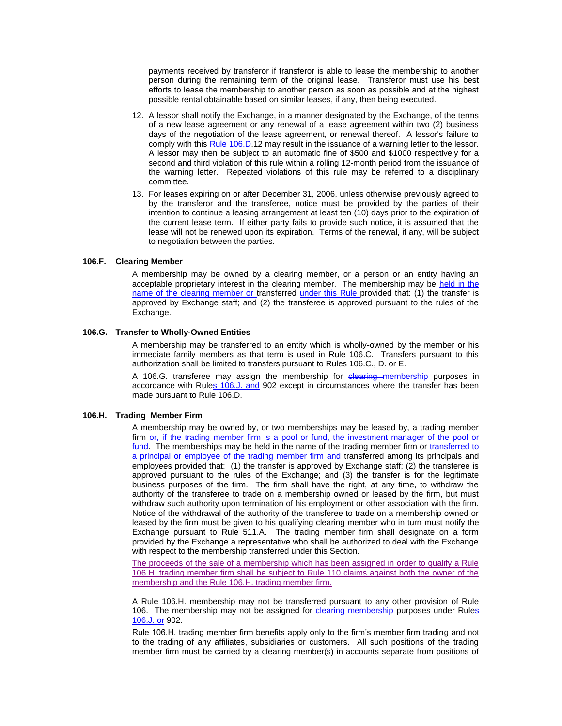payments received by transferor if transferor is able to lease the membership to another person during the remaining term of the original lease. Transferor must use his best efforts to lease the membership to another person as soon as possible and at the highest possible rental obtainable based on similar leases, if any, then being executed.

- 12. A lessor shall notify the Exchange, in a manner designated by the Exchange, of the terms of a new lease agreement or any renewal of a lease agreement within two (2) business days of the negotiation of the lease agreement, or renewal thereof. A lessor's failure to comply with this Rule 106.D.12 may result in the issuance of a warning letter to the lessor. A lessor may then be subject to an automatic fine of \$500 and \$1000 respectively for a second and third violation of this rule within a rolling 12-month period from the issuance of the warning letter. Repeated violations of this rule may be referred to a disciplinary committee.
- 13. For leases expiring on or after December 31, 2006, unless otherwise previously agreed to by the transferor and the transferee, notice must be provided by the parties of their intention to continue a leasing arrangement at least ten (10) days prior to the expiration of the current lease term. If either party fails to provide such notice, it is assumed that the lease will not be renewed upon its expiration. Terms of the renewal, if any, will be subject to negotiation between the parties.

# **106.F. Clearing Member**

A membership may be owned by a clearing member, or a person or an entity having an acceptable proprietary interest in the clearing member. The membership may be held in the name of the clearing member or transferred under this Rule provided that: (1) the transfer is approved by Exchange staff; and (2) the transferee is approved pursuant to the rules of the Exchange.

### **106.G. Transfer to Wholly-Owned Entities**

A membership may be transferred to an entity which is wholly-owned by the member or his immediate family members as that term is used in Rule 106.C. Transfers pursuant to this authorization shall be limited to transfers pursuant to Rules 106.C., D. or E.

A 106.G. transferee may assign the membership for elearing membership purposes in accordance with Rules 106.J. and 902 except in circumstances where the transfer has been made pursuant to Rule 106.D.

### **106.H. Trading Member Firm**

A membership may be owned by, or two memberships may be leased by, a trading member firm or, if the trading member firm is a pool or fund, the investment manager of the pool or fund. The memberships may be held in the name of the trading member firm or transferred to a principal or employee of the trading member firm and transferred among its principals and employees provided that: (1) the transfer is approved by Exchange staff; (2) the transferee is approved pursuant to the rules of the Exchange; and (3) the transfer is for the legitimate business purposes of the firm. The firm shall have the right, at any time, to withdraw the authority of the transferee to trade on a membership owned or leased by the firm, but must withdraw such authority upon termination of his employment or other association with the firm. Notice of the withdrawal of the authority of the transferee to trade on a membership owned or leased by the firm must be given to his qualifying clearing member who in turn must notify the Exchange pursuant to Rule 511.A. The trading member firm shall designate on a form provided by the Exchange a representative who shall be authorized to deal with the Exchange with respect to the membership transferred under this Section.

The proceeds of the sale of a membership which has been assigned in order to qualify a Rule 106.H. trading member firm shall be subject to Rule 110 claims against both the owner of the membership and the Rule 106.H. trading member firm.

A Rule 106.H. membership may not be transferred pursuant to any other provision of Rule 106. The membership may not be assigned for clearing membership purposes under Rules 106.J. or 902.

Rule 106.H. trading member firm benefits apply only to the firm's member firm trading and not to the trading of any affiliates, subsidiaries or customers. All such positions of the trading member firm must be carried by a clearing member(s) in accounts separate from positions of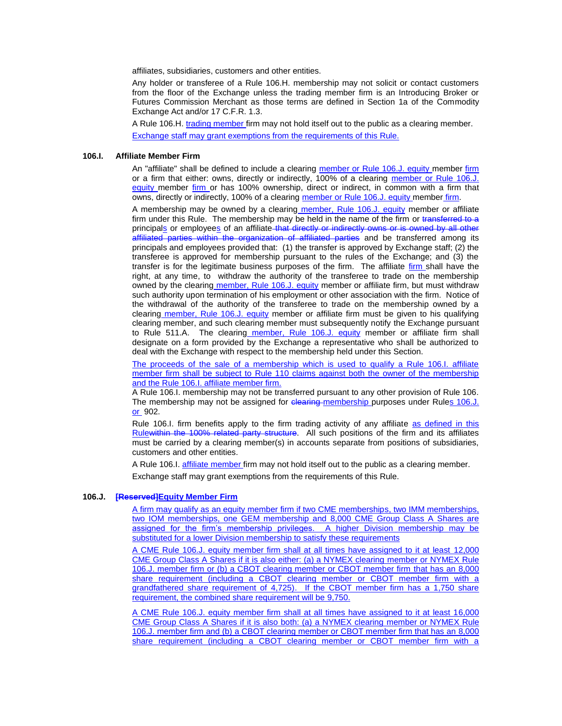affiliates, subsidiaries, customers and other entities.

Any holder or transferee of a Rule 106.H. membership may not solicit or contact customers from the floor of the Exchange unless the trading member firm is an Introducing Broker or Futures Commission Merchant as those terms are defined in Section 1a of the Commodity Exchange Act and/or 17 C.F.R. 1.3.

A Rule 106.H. trading member firm may not hold itself out to the public as a clearing member.

Exchange staff may grant exemptions from the requirements of this Rule.

# **106.I. Affiliate Member Firm**

An "affiliate" shall be defined to include a clearing member or Rule 106.J. equity member firm or a firm that either: owns, directly or indirectly, 100% of a clearing member or Rule 106.J. equity member firm or has 100% ownership, direct or indirect, in common with a firm that owns, directly or indirectly, 100% of a clearing member or Rule 106.J. equity member firm.

A membership may be owned by a clearing member, Rule 106.J. equity member or affiliate firm under this Rule. The membership may be held in the name of the firm or transferred to a principal<u>s</u> or employees of an affiliate–<del>that directly or indirectly owns or is owned by all other</del> affiliated parties within the organization of affiliated parties and be transferred among its principals and employees provided that: (1) the transfer is approved by Exchange staff; (2) the transferee is approved for membership pursuant to the rules of the Exchange; and (3) the transfer is for the legitimate business purposes of the firm. The affiliate firm shall have the right, at any time, to withdraw the authority of the transferee to trade on the membership owned by the clearing member, Rule 106.J. equity member or affiliate firm, but must withdraw such authority upon termination of his employment or other association with the firm. Notice of the withdrawal of the authority of the transferee to trade on the membership owned by a clearing member, Rule 106.J. equity member or affiliate firm must be given to his qualifying clearing member, and such clearing member must subsequently notify the Exchange pursuant to Rule 511.A. The clearing member, Rule 106.J. equity member or affiliate firm shall designate on a form provided by the Exchange a representative who shall be authorized to deal with the Exchange with respect to the membership held under this Section.

The proceeds of the sale of a membership which is used to qualify a Rule 106.I. affiliate member firm shall be subject to Rule 110 claims against both the owner of the membership and the Rule 106.I. affiliate member firm.

A Rule 106.I. membership may not be transferred pursuant to any other provision of Rule 106. The membership may not be assigned for elearing membership purposes under Rules 106.J. or 902.

Rule 106.I. firm benefits apply to the firm trading activity of any affiliate as defined in this Rulewithin the 100% related party structure. All such positions of the firm and its affiliates must be carried by a clearing member(s) in accounts separate from positions of subsidiaries, customers and other entities.

A Rule 106.I. affiliate member firm may not hold itself out to the public as a clearing member. Exchange staff may grant exemptions from the requirements of this Rule.

# **106.J. [Reserved]Equity Member Firm**

A firm may qualify as an equity member firm if two CME memberships, two IMM memberships, two IOM memberships, one GEM membership and 8,000 CME Group Class A Shares are assigned for the firm's membership privileges. A higher Division membership may be substituted for a lower Division membership to satisfy these requirements

A CME Rule 106.J. equity member firm shall at all times have assigned to it at least 12,000 CME Group Class A Shares if it is also either: (a) a NYMEX clearing member or NYMEX Rule 106.J. member firm or (b) a CBOT clearing member or CBOT member firm that has an 8,000 share requirement (including a CBOT clearing member or CBOT member firm with a grandfathered share requirement of 4,725). If the CBOT member firm has a 1,750 share requirement, the combined share requirement will be 9,750.

A CME Rule 106.J. equity member firm shall at all times have assigned to it at least 16,000 CME Group Class A Shares if it is also both: (a) a NYMEX clearing member or NYMEX Rule 106.J. member firm and (b) a CBOT clearing member or CBOT member firm that has an 8,000 share requirement (including a CBOT clearing member or CBOT member firm with a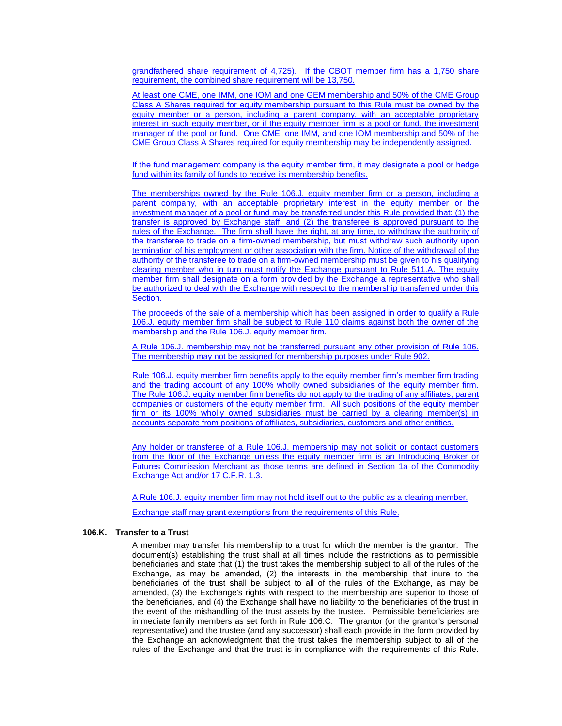grandfathered share requirement of 4,725). If the CBOT member firm has a 1,750 share requirement, the combined share requirement will be 13,750.

At least one CME, one IMM, one IOM and one GEM membership and 50% of the CME Group Class A Shares required for equity membership pursuant to this Rule must be owned by the equity member or a person, including a parent company, with an acceptable proprietary interest in such equity member, or if the equity member firm is a pool or fund, the investment manager of the pool or fund. One CME, one IMM, and one IOM membership and 50% of the CME Group Class A Shares required for equity membership may be independently assigned.

If the fund management company is the equity member firm, it may designate a pool or hedge fund within its family of funds to receive its membership benefits.

The memberships owned by the Rule 106.J. equity member firm or a person, including a parent company, with an acceptable proprietary interest in the equity member or the investment manager of a pool or fund may be transferred under this Rule provided that: (1) the transfer is approved by Exchange staff; and (2) the transferee is approved pursuant to the rules of the Exchange. The firm shall have the right, at any time, to withdraw the authority of the transferee to trade on a firm-owned membership, but must withdraw such authority upon termination of his employment or other association with the firm. Notice of the withdrawal of the authority of the transferee to trade on a firm-owned membership must be given to his qualifying clearing member who in turn must notify the Exchange pursuant to Rule 511.A. The equity member firm shall designate on a form provided by the Exchange a representative who shall be authorized to deal with the Exchange with respect to the membership transferred under this Section.

The proceeds of the sale of a membership which has been assigned in order to qualify a Rule 106.J. equity member firm shall be subject to Rule 110 claims against both the owner of the membership and the Rule 106.J. equity member firm.

A Rule 106.J. membership may not be transferred pursuant any other provision of Rule 106. The membership may not be assigned for membership purposes under Rule 902.

Rule 106.J. equity member firm benefits apply to the equity member firm's member firm trading and the trading account of any 100% wholly owned subsidiaries of the equity member firm. The Rule 106.J. equity member firm benefits do not apply to the trading of any affiliates, parent companies or customers of the equity member firm. All such positions of the equity member firm or its 100% wholly owned subsidiaries must be carried by a clearing member(s) in accounts separate from positions of affiliates, subsidiaries, customers and other entities.

Any holder or transferee of a Rule 106.J. membership may not solicit or contact customers from the floor of the Exchange unless the equity member firm is an Introducing Broker or Futures Commission Merchant as those terms are defined in Section 1a of the Commodity Exchange Act and/or 17 C.F.R. 1.3.

A Rule 106.J. equity member firm may not hold itself out to the public as a clearing member.

Exchange staff may grant exemptions from the requirements of this Rule.

# **106.K. Transfer to a Trust**

A member may transfer his membership to a trust for which the member is the grantor. The document(s) establishing the trust shall at all times include the restrictions as to permissible beneficiaries and state that (1) the trust takes the membership subject to all of the rules of the Exchange, as may be amended, (2) the interests in the membership that inure to the beneficiaries of the trust shall be subject to all of the rules of the Exchange, as may be amended, (3) the Exchange's rights with respect to the membership are superior to those of the beneficiaries, and (4) the Exchange shall have no liability to the beneficiaries of the trust in the event of the mishandling of the trust assets by the trustee. Permissible beneficiaries are immediate family members as set forth in Rule 106.C. The grantor (or the grantor's personal representative) and the trustee (and any successor) shall each provide in the form provided by the Exchange an acknowledgment that the trust takes the membership subject to all of the rules of the Exchange and that the trust is in compliance with the requirements of this Rule.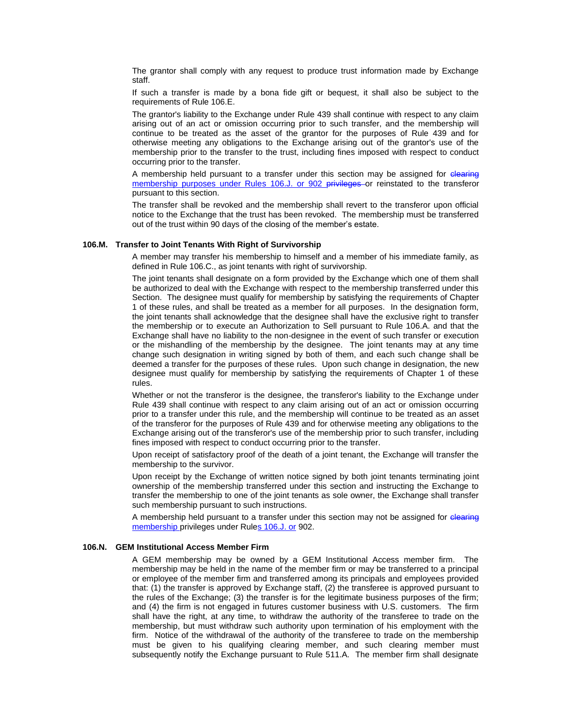The grantor shall comply with any request to produce trust information made by Exchange staff.

If such a transfer is made by a bona fide gift or bequest, it shall also be subject to the requirements of Rule 106.E.

The grantor's liability to the Exchange under Rule 439 shall continue with respect to any claim arising out of an act or omission occurring prior to such transfer, and the membership will continue to be treated as the asset of the grantor for the purposes of Rule 439 and for otherwise meeting any obligations to the Exchange arising out of the grantor's use of the membership prior to the transfer to the trust, including fines imposed with respect to conduct occurring prior to the transfer.

A membership held pursuant to a transfer under this section may be assigned for clearing membership purposes under Rules 106.J. or 902 privileges or reinstated to the transferor pursuant to this section.

The transfer shall be revoked and the membership shall revert to the transferor upon official notice to the Exchange that the trust has been revoked. The membership must be transferred out of the trust within 90 days of the closing of the member's estate.

### **106.M. Transfer to Joint Tenants With Right of Survivorship**

A member may transfer his membership to himself and a member of his immediate family, as defined in Rule 106.C., as joint tenants with right of survivorship.

The joint tenants shall designate on a form provided by the Exchange which one of them shall be authorized to deal with the Exchange with respect to the membership transferred under this Section. The designee must qualify for membership by satisfying the requirements of Chapter 1 of these rules, and shall be treated as a member for all purposes. In the designation form, the joint tenants shall acknowledge that the designee shall have the exclusive right to transfer the membership or to execute an Authorization to Sell pursuant to Rule 106.A. and that the Exchange shall have no liability to the non-designee in the event of such transfer or execution or the mishandling of the membership by the designee. The joint tenants may at any time change such designation in writing signed by both of them, and each such change shall be deemed a transfer for the purposes of these rules. Upon such change in designation, the new designee must qualify for membership by satisfying the requirements of Chapter 1 of these rules.

Whether or not the transferor is the designee, the transferor's liability to the Exchange under Rule 439 shall continue with respect to any claim arising out of an act or omission occurring prior to a transfer under this rule, and the membership will continue to be treated as an asset of the transferor for the purposes of Rule 439 and for otherwise meeting any obligations to the Exchange arising out of the transferor's use of the membership prior to such transfer, including fines imposed with respect to conduct occurring prior to the transfer.

Upon receipt of satisfactory proof of the death of a joint tenant, the Exchange will transfer the membership to the survivor.

Upon receipt by the Exchange of written notice signed by both joint tenants terminating joint ownership of the membership transferred under this section and instructing the Exchange to transfer the membership to one of the joint tenants as sole owner, the Exchange shall transfer such membership pursuant to such instructions.

A membership held pursuant to a transfer under this section may not be assigned for clearing membership privileges under Rules 106.J. or 902.

### **106.N. GEM Institutional Access Member Firm**

A GEM membership may be owned by a GEM Institutional Access member firm. The membership may be held in the name of the member firm or may be transferred to a principal or employee of the member firm and transferred among its principals and employees provided that: (1) the transfer is approved by Exchange staff, (2) the transferee is approved pursuant to the rules of the Exchange; (3) the transfer is for the legitimate business purposes of the firm; and (4) the firm is not engaged in futures customer business with U.S. customers. The firm shall have the right, at any time, to withdraw the authority of the transferee to trade on the membership, but must withdraw such authority upon termination of his employment with the firm. Notice of the withdrawal of the authority of the transferee to trade on the membership must be given to his qualifying clearing member, and such clearing member must subsequently notify the Exchange pursuant to Rule 511.A. The member firm shall designate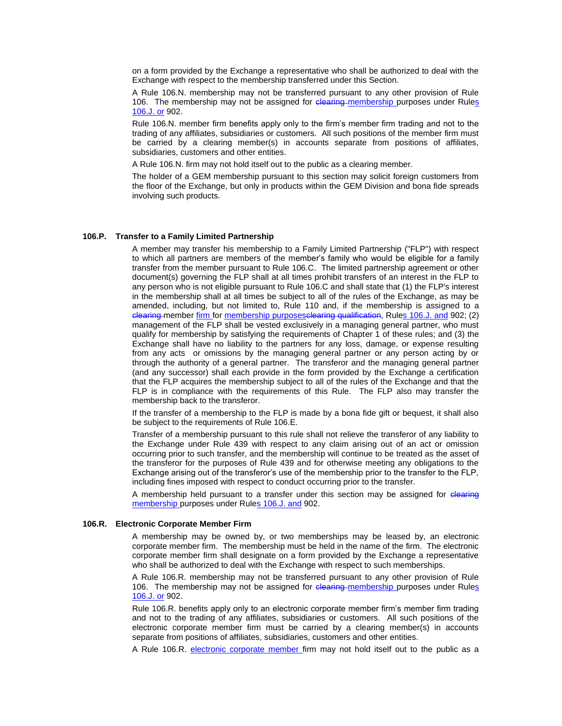on a form provided by the Exchange a representative who shall be authorized to deal with the Exchange with respect to the membership transferred under this Section.

A Rule 106.N. membership may not be transferred pursuant to any other provision of Rule 106. The membership may not be assigned for clearing membership purposes under Rules 106.J. or 902.

Rule 106.N. member firm benefits apply only to the firm's member firm trading and not to the trading of any affiliates, subsidiaries or customers. All such positions of the member firm must be carried by a clearing member(s) in accounts separate from positions of affiliates, subsidiaries, customers and other entities.

A Rule 106.N. firm may not hold itself out to the public as a clearing member.

The holder of a GEM membership pursuant to this section may solicit foreign customers from the floor of the Exchange, but only in products within the GEM Division and bona fide spreads involving such products.

#### **106.P. Transfer to a Family Limited Partnership**

A member may transfer his membership to a Family Limited Partnership ("FLP") with respect to which all partners are members of the member's family who would be eligible for a family transfer from the member pursuant to Rule 106.C. The limited partnership agreement or other document(s) governing the FLP shall at all times prohibit transfers of an interest in the FLP to any person who is not eligible pursuant to Rule 106.C and shall state that (1) the FLP's interest in the membership shall at all times be subject to all of the rules of the Exchange, as may be amended, including, but not limited to, Rule 110 and, if the membership is assigned to a elearing member firm for membership purposes clearing qualification, Rules 106.J. and 902; (2) management of the FLP shall be vested exclusively in a managing general partner, who must qualify for membership by satisfying the requirements of Chapter 1 of these rules; and (3) the Exchange shall have no liability to the partners for any loss, damage, or expense resulting from any acts or omissions by the managing general partner or any person acting by or through the authority of a general partner. The transferor and the managing general partner (and any successor) shall each provide in the form provided by the Exchange a certification that the FLP acquires the membership subject to all of the rules of the Exchange and that the FLP is in compliance with the requirements of this Rule. The FLP also may transfer the membership back to the transferor.

If the transfer of a membership to the FLP is made by a bona fide gift or bequest, it shall also be subject to the requirements of Rule 106.E.

Transfer of a membership pursuant to this rule shall not relieve the transferor of any liability to the Exchange under Rule 439 with respect to any claim arising out of an act or omission occurring prior to such transfer, and the membership will continue to be treated as the asset of the transferor for the purposes of Rule 439 and for otherwise meeting any obligations to the Exchange arising out of the transferor's use of the membership prior to the transfer to the FLP, including fines imposed with respect to conduct occurring prior to the transfer.

A membership held pursuant to a transfer under this section may be assigned for elearing membership purposes under Rules 106.J. and 902.

#### **106.R. Electronic Corporate Member Firm**

A membership may be owned by, or two memberships may be leased by, an electronic corporate member firm. The membership must be held in the name of the firm. The electronic corporate member firm shall designate on a form provided by the Exchange a representative who shall be authorized to deal with the Exchange with respect to such memberships.

A Rule 106.R. membership may not be transferred pursuant to any other provision of Rule 106. The membership may not be assigned for clearing membership purposes under Rules 106.J. or 902.

Rule 106.R. benefits apply only to an electronic corporate member firm's member firm trading and not to the trading of any affiliates, subsidiaries or customers. All such positions of the electronic corporate member firm must be carried by a clearing member(s) in accounts separate from positions of affiliates, subsidiaries, customers and other entities.

A Rule 106.R. electronic corporate member firm may not hold itself out to the public as a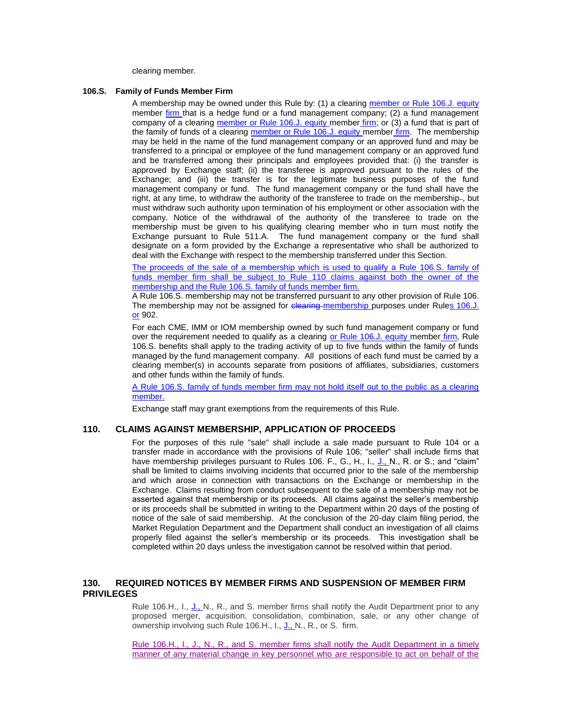clearing member.

### **106.S. Family of Funds Member Firm**

A membership may be owned under this Rule by: (1) a clearing member or Rule 106.J. equity member firm that is a hedge fund or a fund management company; (2) a fund management company of a clearing member or Rule 106.J. equity member firm; or (3) a fund that is part of the family of funds of a clearing member or Rule 106.J. equity member firm. The membership may be held in the name of the fund management company or an approved fund and may be transferred to a principal or employee of the fund management company or an approved fund and be transferred among their principals and employees provided that: (i) the transfer is approved by Exchange staff; (ii) the transferee is approved pursuant to the rules of the Exchange; and (iii) the transfer is for the legitimate business purposes of the fund management company or fund. The fund management company or the fund shall have the right, at any time, to withdraw the authority of the transferee to trade on the membership-, but must withdraw such authority upon termination of his employment or other association with the company. Notice of the withdrawal of the authority of the transferee to trade on the membership must be given to his qualifying clearing member who in turn must notify the Exchange pursuant to Rule 511.A. The fund management company or the fund shall designate on a form provided by the Exchange a representative who shall be authorized to deal with the Exchange with respect to the membership transferred under this Section.

The proceeds of the sale of a membership which is used to qualify a Rule 106.S. family of funds member firm shall be subject to Rule 110 claims against both the owner of the membership and the Rule 106.S. family of funds member firm.

A Rule 106.S. membership may not be transferred pursuant to any other provision of Rule 106. The membership may not be assigned for clearing membership purposes under Rules 106.J. or 902.

For each CME, IMM or IOM membership owned by such fund management company or fund over the requirement needed to qualify as a clearing or Rule 106.J. equity member firm, Rule 106.S. benefits shall apply to the trading activity of up to five funds within the family of funds managed by the fund management company. All positions of each fund must be carried by a clearing member(s) in accounts separate from positions of affiliates, subsidiaries, customers and other funds within the family of funds.

A Rule 106.S. family of funds member firm may not hold itself out to the public as a clearing member.

Exchange staff may grant exemptions from the requirements of this Rule.

# **110. CLAIMS AGAINST MEMBERSHIP, APPLICATION OF PROCEEDS**

For the purposes of this rule "sale" shall include a sale made pursuant to Rule 104 or a transfer made in accordance with the provisions of Rule 106; "seller" shall include firms that have membership privileges pursuant to Rules 106. F., G., H., I., J., N., R. or S.; and "claim" shall be limited to claims involving incidents that occurred prior to the sale of the membership and which arose in connection with transactions on the Exchange or membership in the Exchange. Claims resulting from conduct subsequent to the sale of a membership may not be asserted against that membership or its proceeds. All claims against the seller's membership or its proceeds shall be submitted in writing to the Department within 20 days of the posting of notice of the sale of said membership. At the conclusion of the 20-day claim filing period, the Market Regulation Department and the Department shall conduct an investigation of all claims properly filed against the seller's membership or its proceeds. This investigation shall be completed within 20 days unless the investigation cannot be resolved within that period.

# **130. REQUIRED NOTICES BY MEMBER FIRMS AND SUSPENSION OF MEMBER FIRM PRIVILEGES**

Rule 106.H., I., J., N., R., and S. member firms shall notify the Audit Department prior to any proposed merger, acquisition, consolidation, combination, sale, or any other change of ownership involving such Rule 106.H., I., J., N., R., or S. firm.

Rule 106.H., I., J., N., R., and S. member firms shall notify the Audit Department in a timely manner of any material change in key personnel who are responsible to act on behalf of the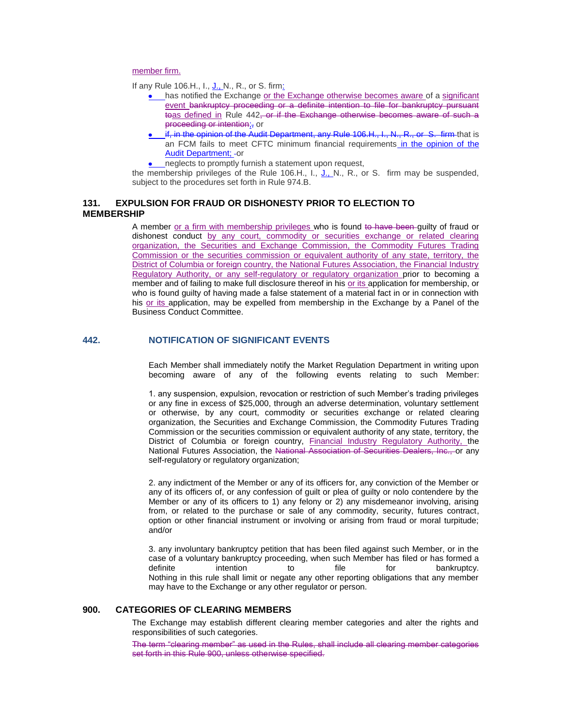member firm.

If any Rule 106.H., I., J., N., R., or S. firm:

- $\bullet$  has notified the Exchange or the Exchange otherwise becomes aware of a significant event bankruptcy proceeding or a definite intention to file for bankruptcy pursuant toas defined in Rule 442, or if the Exchange otherwise becomes aware of such a proceeding or intention;, or
- if, in the opinion of the Audit Department, any Rule 106.H., I., N., R., or S. firm that is an FCM fails to meet CFTC minimum financial requirements in the opinion of the Audit Department: - or
- neglects to promptly furnish a statement upon request,

the membership privileges of the Rule 106.H., I., J., N., R., or S. firm may be suspended, subject to the procedures set forth in Rule 974.B.

# **131. EXPULSION FOR FRAUD OR DISHONESTY PRIOR TO ELECTION TO MEMBERSHIP**

A member or a firm with membership privileges who is found to have been guilty of fraud or dishonest conduct by any court, commodity or securities exchange or related clearing organization, the Securities and Exchange Commission, the Commodity Futures Trading Commission or the securities commission or equivalent authority of any state, territory, the District of Columbia or foreign country, the National Futures Association, the Financial Industry Regulatory Authority, or any self-regulatory or regulatory organization prior to becoming a member and of failing to make full disclosure thereof in his or its application for membership, or who is found guilty of having made a false statement of a material fact in or in connection with his or its application, may be expelled from membership in the Exchange by a Panel of the Business Conduct Committee.

# **442. NOTIFICATION OF SIGNIFICANT EVENTS**

Each Member shall immediately notify the Market Regulation Department in writing upon becoming aware of any of the following events relating to such Member:

1. any suspension, expulsion, revocation or restriction of such Member's trading privileges or any fine in excess of \$25,000, through an adverse determination, voluntary settlement or otherwise, by any court, commodity or securities exchange or related clearing organization, the Securities and Exchange Commission, the Commodity Futures Trading Commission or the securities commission or equivalent authority of any state, territory, the District of Columbia or foreign country, Financial Industry Regulatory Authority, the National Futures Association, the National Association of Securities Dealers, Inc., or any self-regulatory or regulatory organization;

2. any indictment of the Member or any of its officers for, any conviction of the Member or any of its officers of, or any confession of guilt or plea of guilty or nolo contendere by the Member or any of its officers to 1) any felony or 2) any misdemeanor involving, arising from, or related to the purchase or sale of any commodity, security, futures contract, option or other financial instrument or involving or arising from fraud or moral turpitude; and/or

3. any involuntary bankruptcy petition that has been filed against such Member, or in the case of a voluntary bankruptcy proceeding, when such Member has filed or has formed a definite intention to file for bankruptcy. Nothing in this rule shall limit or negate any other reporting obligations that any member may have to the Exchange or any other regulator or person.

# **900. CATEGORIES OF CLEARING MEMBERS**

The Exchange may establish different clearing member categories and alter the rights and responsibilities of such categories.

The term "clearing member" as used in the Rules, shall include all clearing member categories set forth in this Rule 900, unless otherwise specified.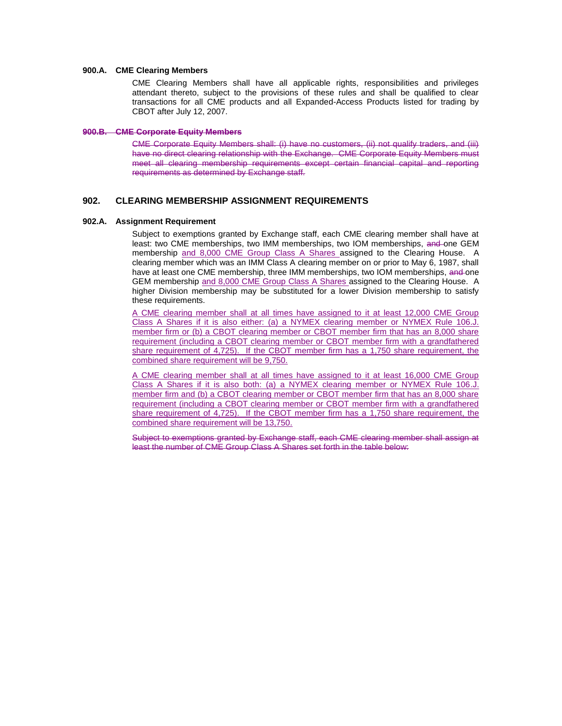### **900.A. CME Clearing Members**

CME Clearing Members shall have all applicable rights, responsibilities and privileges attendant thereto, subject to the provisions of these rules and shall be qualified to clear transactions for all CME products and all Expanded-Access Products listed for trading by CBOT after July 12, 2007.

### **900.B. CME Corporate Equity Members**

CME Corporate Equity Members shall: (i) have no customers, (ii) not qualify traders, and (iii) have no direct clearing relationship with the Exchange. CME Corporate Equity Members must meet all clearing membership requirements except certain financial capital and reporting requirements as determined by Exchange staff.

# **902. CLEARING MEMBERSHIP ASSIGNMENT REQUIREMENTS**

#### **902.A. Assignment Requirement**

Subject to exemptions granted by Exchange staff, each CME clearing member shall have at least: two CME memberships, two IMM memberships, two IOM memberships, and one GEM membership and 8,000 CME Group Class A Shares assigned to the Clearing House. A clearing member which was an IMM Class A clearing member on or prior to May 6, 1987, shall have at least one CME membership, three IMM memberships, two IOM memberships, and one GEM membership and 8,000 CME Group Class A Shares assigned to the Clearing House. A higher Division membership may be substituted for a lower Division membership to satisfy these requirements.

A CME clearing member shall at all times have assigned to it at least 12,000 CME Group Class A Shares if it is also either: (a) a NYMEX clearing member or NYMEX Rule 106.J. member firm or (b) a CBOT clearing member or CBOT member firm that has an 8,000 share requirement (including a CBOT clearing member or CBOT member firm with a grandfathered share requirement of 4,725). If the CBOT member firm has a 1,750 share requirement, the combined share requirement will be 9,750.

A CME clearing member shall at all times have assigned to it at least 16,000 CME Group Class A Shares if it is also both: (a) a NYMEX clearing member or NYMEX Rule 106.J. member firm and (b) a CBOT clearing member or CBOT member firm that has an 8,000 share requirement (including a CBOT clearing member or CBOT member firm with a grandfathered share requirement of 4,725). If the CBOT member firm has a 1,750 share requirement, the combined share requirement will be 13,750.

Subject to exemptions granted by Exchange staff, each CME clearing member shall assign at least the number of CME Group Class A Shares set forth in the table below: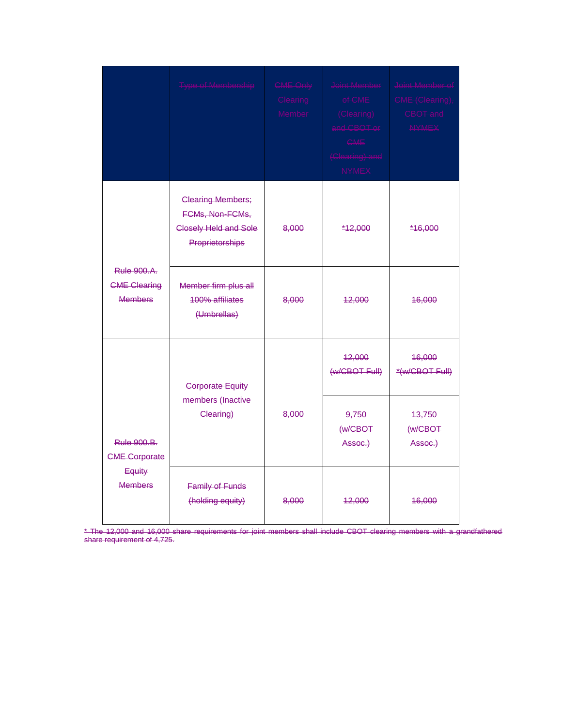|                                                                        | <b>Type of Membership</b>                                                               | CME Only<br>Clearing<br>Member | Joint Member<br>of CME<br>(Clearing)<br>and CBOT or<br>CME<br>(Clearing) and<br><b>NYMEX</b> | Joint Member of<br>CME (Clearing),<br>CBOT and<br><b>NYMEX</b> |
|------------------------------------------------------------------------|-----------------------------------------------------------------------------------------|--------------------------------|----------------------------------------------------------------------------------------------|----------------------------------------------------------------|
|                                                                        | <b>Clearing Members;</b><br>FCMs, Non-FCMs,<br>Closely Held and Sole<br>Proprietorships | 8,000                          | *12,000                                                                                      | *16,000                                                        |
| <b>Rule 900.A.</b><br><b>CME Clearing</b><br><b>Members</b>            | Member firm plus all<br><b>100% affiliates</b><br>(Umbrellas)                           | 8,000                          | 42,000                                                                                       | 46,000                                                         |
|                                                                        | <b>Corporate Equity</b>                                                                 |                                | 12,000<br>(w/CBOT Full)                                                                      | 46,000<br>*(w/CBOT Full)                                       |
| <b>Rule 900.B.</b><br><b>CME Corporate</b><br>Equity<br><b>Members</b> | members (Inactive<br>Clearing)                                                          | 8,000                          | 9.750<br>(w/CBOT<br>Assoc.)                                                                  | 13,750<br>(w/CBOT<br>Assoc.)                                   |
|                                                                        | <b>Family of Funds</b><br>(holding equity)                                              | 8,000                          | 42,000                                                                                       | 46,000                                                         |

\* The 12,000 and 16,000 share requirements for joint members shall include CBOT clearing members with a grandfathered share requirement of 4,725.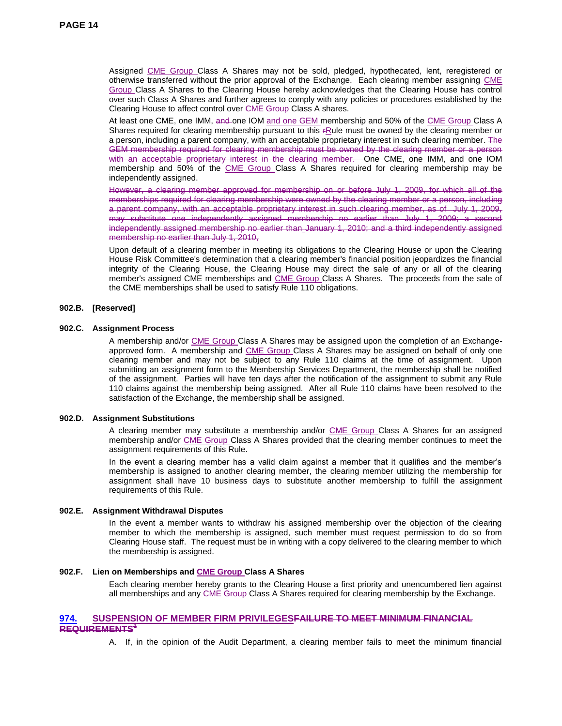Assigned CME Group Class A Shares may not be sold, pledged, hypothecated, lent, reregistered or otherwise transferred without the prior approval of the Exchange. Each clearing member assigning CME Group Class A Shares to the Clearing House hereby acknowledges that the Clearing House has control over such Class A Shares and further agrees to comply with any policies or procedures established by the Clearing House to affect control over CME Group Class A shares.

At least one CME, one IMM, and one IOM and one GEM membership and 50% of the CME Group Class A Shares required for clearing membership pursuant to this *FRule must be owned by the clearing member or* a person, including a parent company, with an acceptable proprietary interest in such clearing member. The GEM membership required for clearing membership must be owned by the clearing member or a person with an acceptable proprietary interest in the clearing member. One CME, one IMM, and one IOM membership and 50% of the CME Group Class A Shares required for clearing membership may be independently assigned.

However, a clearing member approved for membership on or before July 1, 2009, for which all of the memberships required for clearing membership were owned by the clearing member or a person, including a parent company, with an acceptable proprietary interest in such clearing member, as of July 1, 2009, may substitute one independently assigned membership no earlier than July 1, 2009; a second independently assigned membership no earlier than January 1, 2010; and a third independently assigned membership no earlier than July 1, 2010,

Upon default of a clearing member in meeting its obligations to the Clearing House or upon the Clearing House Risk Committee's determination that a clearing member's financial position jeopardizes the financial integrity of the Clearing House, the Clearing House may direct the sale of any or all of the clearing member's assigned CME memberships and CME Group Class A Shares. The proceeds from the sale of the CME memberships shall be used to satisfy Rule 110 obligations.

# **902.B. [Reserved]**

### **902.C. Assignment Process**

A membership and/or CME Group Class A Shares may be assigned upon the completion of an Exchangeapproved form. A membership and CME Group Class A Shares may be assigned on behalf of only one clearing member and may not be subject to any Rule 110 claims at the time of assignment. Upon submitting an assignment form to the Membership Services Department, the membership shall be notified of the assignment. Parties will have ten days after the notification of the assignment to submit any Rule 110 claims against the membership being assigned. After all Rule 110 claims have been resolved to the satisfaction of the Exchange, the membership shall be assigned.

### **902.D. Assignment Substitutions**

A clearing member may substitute a membership and/or CME Group Class A Shares for an assigned membership and/or CME Group Class A Shares provided that the clearing member continues to meet the assignment requirements of this Rule.

In the event a clearing member has a valid claim against a member that it qualifies and the member's membership is assigned to another clearing member, the clearing member utilizing the membership for assignment shall have 10 business days to substitute another membership to fulfill the assignment requirements of this Rule.

### **902.E. Assignment Withdrawal Disputes**

In the event a member wants to withdraw his assigned membership over the objection of the clearing member to which the membership is assigned, such member must request permission to do so from Clearing House staff. The request must be in writing with a copy delivered to the clearing member to which the membership is assigned.

### **902.F. Lien on Memberships and CME Group Class A Shares**

Each clearing member hereby grants to the Clearing House a first priority and unencumbered lien against all memberships and any CME Group Class A Shares required for clearing membership by the Exchange.

# **974. SUSPENSION OF MEMBER FIRM PRIVILEGESFAILURE TO MEET MINIMUM FINANCIAL REQUIREMENTS<sup>1</sup>**

A. If, in the opinion of the Audit Department, a clearing member fails to meet the minimum financial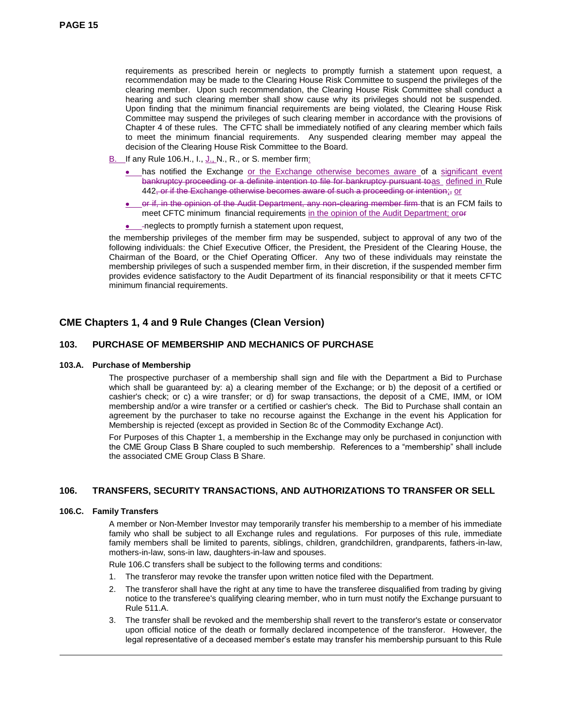requirements as prescribed herein or neglects to promptly furnish a statement upon request, a recommendation may be made to the Clearing House Risk Committee to suspend the privileges of the clearing member. Upon such recommendation, the Clearing House Risk Committee shall conduct a hearing and such clearing member shall show cause why its privileges should not be suspended. Upon finding that the minimum financial requirements are being violated, the Clearing House Risk Committee may suspend the privileges of such clearing member in accordance with the provisions of Chapter 4 of these rules. The CFTC shall be immediately notified of any clearing member which fails to meet the minimum financial requirements. Any suspended clearing member may appeal the decision of the Clearing House Risk Committee to the Board.

- B. If any Rule 106.H., I., J., N., R., or S. member firm:
	- has notified the Exchange or the Exchange otherwise becomes aware of a significant event bankruptcy proceeding or a definite intention to file for bankruptcy pursuant toas defined in Rule  $442$ , or if the Exchange otherwise becomes aware of such a proceeding or intention;, or
	- or if, in the opinion of the Audit Department, any non-clearing member firm that is an FCM fails to meet CFTC minimum financial requirements in the opinion of the Audit Department; oror
	- **.** \_\_-neglects to promptly furnish a statement upon request,

the membership privileges of the member firm may be suspended, subject to approval of any two of the following individuals: the Chief Executive Officer, the President, the President of the Clearing House, the Chairman of the Board, or the Chief Operating Officer. Any two of these individuals may reinstate the membership privileges of such a suspended member firm, in their discretion, if the suspended member firm provides evidence satisfactory to the Audit Department of its financial responsibility or that it meets CFTC minimum financial requirements.

# **CME Chapters 1, 4 and 9 Rule Changes (Clean Version)**

# **103. PURCHASE OF MEMBERSHIP AND MECHANICS OF PURCHASE**

### **103.A. Purchase of Membership**

The prospective purchaser of a membership shall sign and file with the Department a Bid to Purchase which shall be guaranteed by: a) a clearing member of the Exchange; or b) the deposit of a certified or cashier's check; or c) a wire transfer; or d) for swap transactions, the deposit of a CME, IMM, or IOM membership and/or a wire transfer or a certified or cashier's check. The Bid to Purchase shall contain an agreement by the purchaser to take no recourse against the Exchange in the event his Application for Membership is rejected (except as provided in Section 8c of the Commodity Exchange Act).

For Purposes of this Chapter 1, a membership in the Exchange may only be purchased in conjunction with the CME Group Class B Share coupled to such membership. References to a "membership" shall include the associated CME Group Class B Share.

# **106. TRANSFERS, SECURITY TRANSACTIONS, AND AUTHORIZATIONS TO TRANSFER OR SELL**

### **106.C. Family Transfers**

1

A member or Non-Member Investor may temporarily transfer his membership to a member of his immediate family who shall be subject to all Exchange rules and regulations. For purposes of this rule, immediate family members shall be limited to parents, siblings, children, grandchildren, grandparents, fathers-in-law, mothers-in-law, sons-in law, daughters-in-law and spouses.

Rule 106.C transfers shall be subject to the following terms and conditions:

- 1. The transferor may revoke the transfer upon written notice filed with the Department.
- 2. The transferor shall have the right at any time to have the transferee disqualified from trading by giving notice to the transferee's qualifying clearing member, who in turn must notify the Exchange pursuant to Rule 511.A.
- 3. The transfer shall be revoked and the membership shall revert to the transferor's estate or conservator upon official notice of the death or formally declared incompetence of the transferor. However, the legal representative of a deceased member's estate may transfer his membership pursuant to this Rule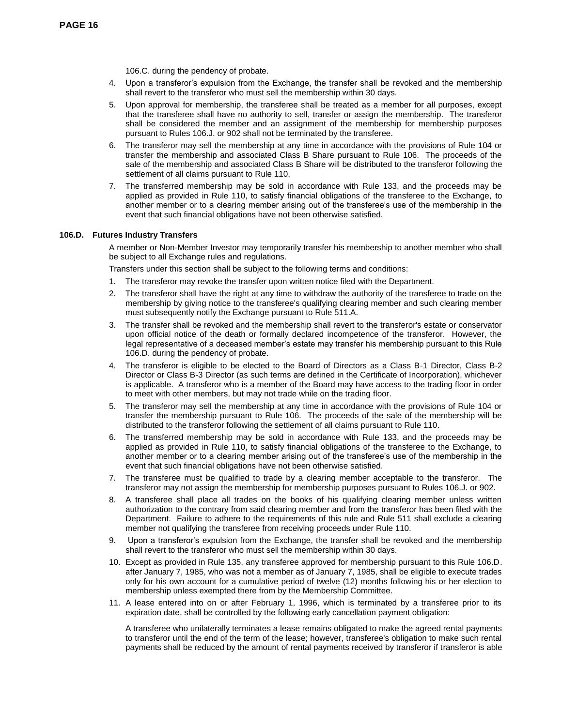106.C. during the pendency of probate.

- 4. Upon a transferor's expulsion from the Exchange, the transfer shall be revoked and the membership shall revert to the transferor who must sell the membership within 30 days.
- 5. Upon approval for membership, the transferee shall be treated as a member for all purposes, except that the transferee shall have no authority to sell, transfer or assign the membership. The transferor shall be considered the member and an assignment of the membership for membership purposes pursuant to Rules 106.J. or 902 shall not be terminated by the transferee.
- 6. The transferor may sell the membership at any time in accordance with the provisions of Rule 104 or transfer the membership and associated Class B Share pursuant to Rule 106. The proceeds of the sale of the membership and associated Class B Share will be distributed to the transferor following the settlement of all claims pursuant to Rule 110.
- 7. The transferred membership may be sold in accordance with Rule 133, and the proceeds may be applied as provided in Rule 110, to satisfy financial obligations of the transferee to the Exchange, to another member or to a clearing member arising out of the transferee's use of the membership in the event that such financial obligations have not been otherwise satisfied.

# **106.D. Futures Industry Transfers**

A member or Non-Member Investor may temporarily transfer his membership to another member who shall be subject to all Exchange rules and regulations.

Transfers under this section shall be subject to the following terms and conditions:

- 1. The transferor may revoke the transfer upon written notice filed with the Department.
- 2. The transferor shall have the right at any time to withdraw the authority of the transferee to trade on the membership by giving notice to the transferee's qualifying clearing member and such clearing member must subsequently notify the Exchange pursuant to Rule 511.A.
- 3. The transfer shall be revoked and the membership shall revert to the transferor's estate or conservator upon official notice of the death or formally declared incompetence of the transferor. However, the legal representative of a deceased member's estate may transfer his membership pursuant to this Rule 106.D. during the pendency of probate.
- 4. The transferor is eligible to be elected to the Board of Directors as a Class B-1 Director, Class B-2 Director or Class B-3 Director (as such terms are defined in the Certificate of Incorporation), whichever is applicable. A transferor who is a member of the Board may have access to the trading floor in order to meet with other members, but may not trade while on the trading floor.
- 5. The transferor may sell the membership at any time in accordance with the provisions of Rule 104 or transfer the membership pursuant to Rule 106. The proceeds of the sale of the membership will be distributed to the transferor following the settlement of all claims pursuant to Rule 110.
- 6. The transferred membership may be sold in accordance with Rule 133, and the proceeds may be applied as provided in Rule 110, to satisfy financial obligations of the transferee to the Exchange, to another member or to a clearing member arising out of the transferee's use of the membership in the event that such financial obligations have not been otherwise satisfied.
- 7. The transferee must be qualified to trade by a clearing member acceptable to the transferor. The transferor may not assign the membership for membership purposes pursuant to Rules 106.J. or 902.
- 8. A transferee shall place all trades on the books of his qualifying clearing member unless written authorization to the contrary from said clearing member and from the transferor has been filed with the Department. Failure to adhere to the requirements of this rule and Rule 511 shall exclude a clearing member not qualifying the transferee from receiving proceeds under Rule 110.
- 9. Upon a transferor's expulsion from the Exchange, the transfer shall be revoked and the membership shall revert to the transferor who must sell the membership within 30 days.
- 10. Except as provided in Rule 135, any transferee approved for membership pursuant to this Rule 106.D. after January 7, 1985, who was not a member as of January 7, 1985, shall be eligible to execute trades only for his own account for a cumulative period of twelve (12) months following his or her election to membership unless exempted there from by the Membership Committee.
- 11. A lease entered into on or after February 1, 1996, which is terminated by a transferee prior to its expiration date, shall be controlled by the following early cancellation payment obligation:

A transferee who unilaterally terminates a lease remains obligated to make the agreed rental payments to transferor until the end of the term of the lease; however, transferee's obligation to make such rental payments shall be reduced by the amount of rental payments received by transferor if transferor is able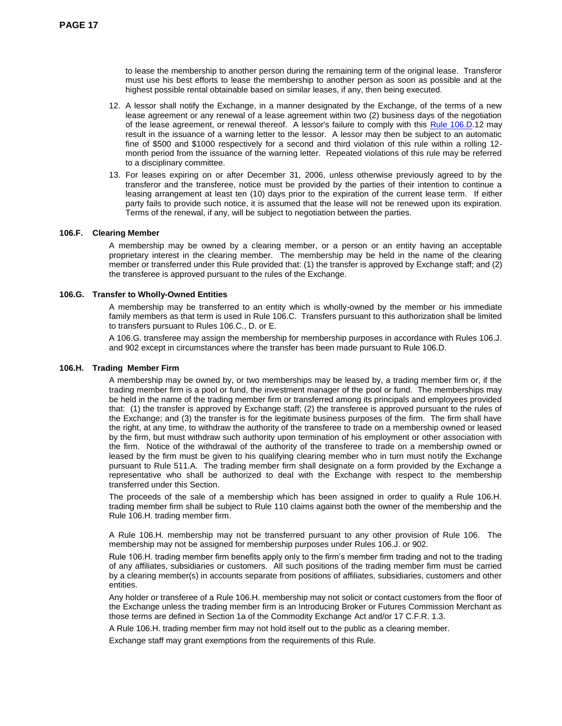to lease the membership to another person during the remaining term of the original lease. Transferor must use his best efforts to lease the membership to another person as soon as possible and at the highest possible rental obtainable based on similar leases, if any, then being executed.

- 12. A lessor shall notify the Exchange, in a manner designated by the Exchange, of the terms of a new lease agreement or any renewal of a lease agreement within two (2) business days of the negotiation of the lease agreement, or renewal thereof. A lessor's failure to comply with this Rule 106.D.12 may result in the issuance of a warning letter to the lessor. A lessor may then be subject to an automatic fine of \$500 and \$1000 respectively for a second and third violation of this rule within a rolling 12 month period from the issuance of the warning letter. Repeated violations of this rule may be referred to a disciplinary committee.
- 13. For leases expiring on or after December 31, 2006, unless otherwise previously agreed to by the transferor and the transferee, notice must be provided by the parties of their intention to continue a leasing arrangement at least ten (10) days prior to the expiration of the current lease term. If either party fails to provide such notice, it is assumed that the lease will not be renewed upon its expiration. Terms of the renewal, if any, will be subject to negotiation between the parties.

### **106.F. Clearing Member**

A membership may be owned by a clearing member, or a person or an entity having an acceptable proprietary interest in the clearing member. The membership may be held in the name of the clearing member or transferred under this Rule provided that: (1) the transfer is approved by Exchange staff; and (2) the transferee is approved pursuant to the rules of the Exchange.

### **106.G. Transfer to Wholly-Owned Entities**

A membership may be transferred to an entity which is wholly-owned by the member or his immediate family members as that term is used in Rule 106.C. Transfers pursuant to this authorization shall be limited to transfers pursuant to Rules 106.C., D. or E.

A 106.G. transferee may assign the membership for membership purposes in accordance with Rules 106.J. and 902 except in circumstances where the transfer has been made pursuant to Rule 106.D.

### **106.H. Trading Member Firm**

A membership may be owned by, or two memberships may be leased by, a trading member firm or, if the trading member firm is a pool or fund, the investment manager of the pool or fund. The memberships may be held in the name of the trading member firm or transferred among its principals and employees provided that: (1) the transfer is approved by Exchange staff; (2) the transferee is approved pursuant to the rules of the Exchange; and (3) the transfer is for the legitimate business purposes of the firm. The firm shall have the right, at any time, to withdraw the authority of the transferee to trade on a membership owned or leased by the firm, but must withdraw such authority upon termination of his employment or other association with the firm. Notice of the withdrawal of the authority of the transferee to trade on a membership owned or leased by the firm must be given to his qualifying clearing member who in turn must notify the Exchange pursuant to Rule 511.A. The trading member firm shall designate on a form provided by the Exchange a representative who shall be authorized to deal with the Exchange with respect to the membership transferred under this Section.

The proceeds of the sale of a membership which has been assigned in order to qualify a Rule 106.H. trading member firm shall be subject to Rule 110 claims against both the owner of the membership and the Rule 106.H. trading member firm.

A Rule 106.H. membership may not be transferred pursuant to any other provision of Rule 106. The membership may not be assigned for membership purposes under Rules 106.J. or 902.

Rule 106.H. trading member firm benefits apply only to the firm's member firm trading and not to the trading of any affiliates, subsidiaries or customers. All such positions of the trading member firm must be carried by a clearing member(s) in accounts separate from positions of affiliates, subsidiaries, customers and other entities.

Any holder or transferee of a Rule 106.H. membership may not solicit or contact customers from the floor of the Exchange unless the trading member firm is an Introducing Broker or Futures Commission Merchant as those terms are defined in Section 1a of the Commodity Exchange Act and/or 17 C.F.R. 1.3.

A Rule 106.H. trading member firm may not hold itself out to the public as a clearing member.

Exchange staff may grant exemptions from the requirements of this Rule.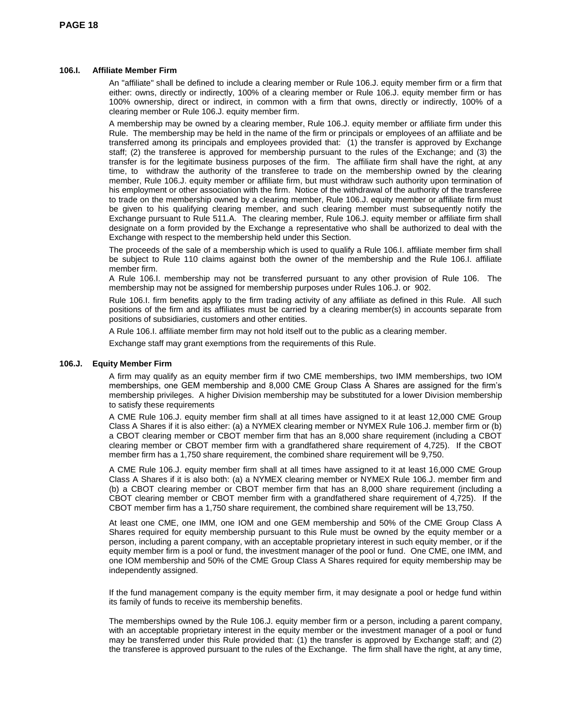# **106.I. Affiliate Member Firm**

An "affiliate" shall be defined to include a clearing member or Rule 106.J. equity member firm or a firm that either: owns, directly or indirectly, 100% of a clearing member or Rule 106.J. equity member firm or has 100% ownership, direct or indirect, in common with a firm that owns, directly or indirectly, 100% of a clearing member or Rule 106.J. equity member firm.

A membership may be owned by a clearing member, Rule 106.J. equity member or affiliate firm under this Rule. The membership may be held in the name of the firm or principals or employees of an affiliate and be transferred among its principals and employees provided that: (1) the transfer is approved by Exchange staff; (2) the transferee is approved for membership pursuant to the rules of the Exchange; and (3) the transfer is for the legitimate business purposes of the firm. The affiliate firm shall have the right, at any time, to withdraw the authority of the transferee to trade on the membership owned by the clearing member, Rule 106.J. equity member or affiliate firm, but must withdraw such authority upon termination of his employment or other association with the firm. Notice of the withdrawal of the authority of the transferee to trade on the membership owned by a clearing member, Rule 106.J. equity member or affiliate firm must be given to his qualifying clearing member, and such clearing member must subsequently notify the Exchange pursuant to Rule 511.A. The clearing member, Rule 106.J. equity member or affiliate firm shall designate on a form provided by the Exchange a representative who shall be authorized to deal with the Exchange with respect to the membership held under this Section.

The proceeds of the sale of a membership which is used to qualify a Rule 106.I. affiliate member firm shall be subject to Rule 110 claims against both the owner of the membership and the Rule 106.I. affiliate member firm.

A Rule 106.I. membership may not be transferred pursuant to any other provision of Rule 106. The membership may not be assigned for membership purposes under Rules 106.J. or 902.

Rule 106.I. firm benefits apply to the firm trading activity of any affiliate as defined in this Rule. All such positions of the firm and its affiliates must be carried by a clearing member(s) in accounts separate from positions of subsidiaries, customers and other entities.

A Rule 106.I. affiliate member firm may not hold itself out to the public as a clearing member.

Exchange staff may grant exemptions from the requirements of this Rule.

### **106.J. Equity Member Firm**

A firm may qualify as an equity member firm if two CME memberships, two IMM memberships, two IOM memberships, one GEM membership and 8,000 CME Group Class A Shares are assigned for the firm's membership privileges. A higher Division membership may be substituted for a lower Division membership to satisfy these requirements

A CME Rule 106.J. equity member firm shall at all times have assigned to it at least 12,000 CME Group Class A Shares if it is also either: (a) a NYMEX clearing member or NYMEX Rule 106.J. member firm or (b) a CBOT clearing member or CBOT member firm that has an 8,000 share requirement (including a CBOT clearing member or CBOT member firm with a grandfathered share requirement of 4,725). If the CBOT member firm has a 1,750 share requirement, the combined share requirement will be 9,750.

A CME Rule 106.J. equity member firm shall at all times have assigned to it at least 16,000 CME Group Class A Shares if it is also both: (a) a NYMEX clearing member or NYMEX Rule 106.J. member firm and (b) a CBOT clearing member or CBOT member firm that has an 8,000 share requirement (including a CBOT clearing member or CBOT member firm with a grandfathered share requirement of 4,725). If the CBOT member firm has a 1,750 share requirement, the combined share requirement will be 13,750.

At least one CME, one IMM, one IOM and one GEM membership and 50% of the CME Group Class A Shares required for equity membership pursuant to this Rule must be owned by the equity member or a person, including a parent company, with an acceptable proprietary interest in such equity member, or if the equity member firm is a pool or fund, the investment manager of the pool or fund. One CME, one IMM, and one IOM membership and 50% of the CME Group Class A Shares required for equity membership may be independently assigned.

If the fund management company is the equity member firm, it may designate a pool or hedge fund within its family of funds to receive its membership benefits.

The memberships owned by the Rule 106.J. equity member firm or a person, including a parent company, with an acceptable proprietary interest in the equity member or the investment manager of a pool or fund may be transferred under this Rule provided that: (1) the transfer is approved by Exchange staff; and (2) the transferee is approved pursuant to the rules of the Exchange. The firm shall have the right, at any time,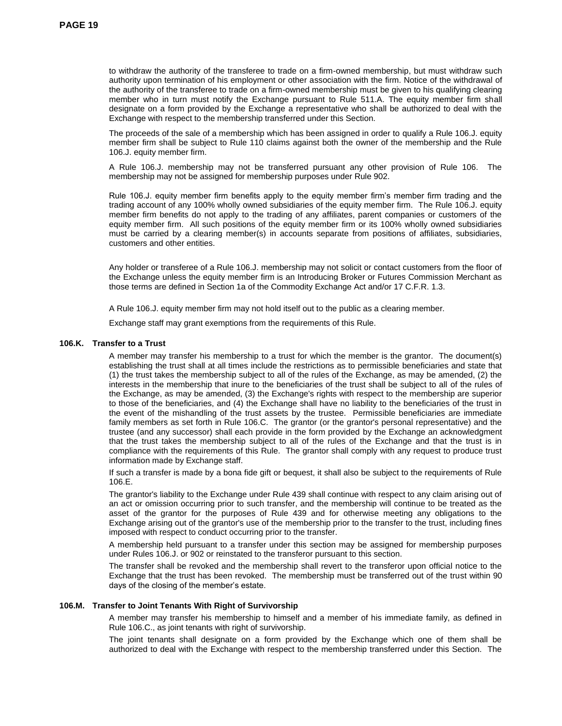to withdraw the authority of the transferee to trade on a firm-owned membership, but must withdraw such authority upon termination of his employment or other association with the firm. Notice of the withdrawal of the authority of the transferee to trade on a firm-owned membership must be given to his qualifying clearing member who in turn must notify the Exchange pursuant to Rule 511.A. The equity member firm shall designate on a form provided by the Exchange a representative who shall be authorized to deal with the Exchange with respect to the membership transferred under this Section.

The proceeds of the sale of a membership which has been assigned in order to qualify a Rule 106.J. equity member firm shall be subject to Rule 110 claims against both the owner of the membership and the Rule 106.J. equity member firm.

A Rule 106.J. membership may not be transferred pursuant any other provision of Rule 106. The membership may not be assigned for membership purposes under Rule 902.

Rule 106.J. equity member firm benefits apply to the equity member firm's member firm trading and the trading account of any 100% wholly owned subsidiaries of the equity member firm. The Rule 106.J. equity member firm benefits do not apply to the trading of any affiliates, parent companies or customers of the equity member firm. All such positions of the equity member firm or its 100% wholly owned subsidiaries must be carried by a clearing member(s) in accounts separate from positions of affiliates, subsidiaries, customers and other entities.

Any holder or transferee of a Rule 106.J. membership may not solicit or contact customers from the floor of the Exchange unless the equity member firm is an Introducing Broker or Futures Commission Merchant as those terms are defined in Section 1a of the Commodity Exchange Act and/or 17 C.F.R. 1.3.

A Rule 106.J. equity member firm may not hold itself out to the public as a clearing member.

Exchange staff may grant exemptions from the requirements of this Rule.

### **106.K. Transfer to a Trust**

A member may transfer his membership to a trust for which the member is the grantor. The document(s) establishing the trust shall at all times include the restrictions as to permissible beneficiaries and state that (1) the trust takes the membership subject to all of the rules of the Exchange, as may be amended, (2) the interests in the membership that inure to the beneficiaries of the trust shall be subject to all of the rules of the Exchange, as may be amended, (3) the Exchange's rights with respect to the membership are superior to those of the beneficiaries, and (4) the Exchange shall have no liability to the beneficiaries of the trust in the event of the mishandling of the trust assets by the trustee. Permissible beneficiaries are immediate family members as set forth in Rule 106.C. The grantor (or the grantor's personal representative) and the trustee (and any successor) shall each provide in the form provided by the Exchange an acknowledgment that the trust takes the membership subject to all of the rules of the Exchange and that the trust is in compliance with the requirements of this Rule. The grantor shall comply with any request to produce trust information made by Exchange staff.

If such a transfer is made by a bona fide gift or bequest, it shall also be subject to the requirements of Rule 106.E.

The grantor's liability to the Exchange under Rule 439 shall continue with respect to any claim arising out of an act or omission occurring prior to such transfer, and the membership will continue to be treated as the asset of the grantor for the purposes of Rule 439 and for otherwise meeting any obligations to the Exchange arising out of the grantor's use of the membership prior to the transfer to the trust, including fines imposed with respect to conduct occurring prior to the transfer.

A membership held pursuant to a transfer under this section may be assigned for membership purposes under Rules 106.J. or 902 or reinstated to the transferor pursuant to this section.

The transfer shall be revoked and the membership shall revert to the transferor upon official notice to the Exchange that the trust has been revoked. The membership must be transferred out of the trust within 90 days of the closing of the member's estate.

### **106.M. Transfer to Joint Tenants With Right of Survivorship**

A member may transfer his membership to himself and a member of his immediate family, as defined in Rule 106.C., as joint tenants with right of survivorship.

The joint tenants shall designate on a form provided by the Exchange which one of them shall be authorized to deal with the Exchange with respect to the membership transferred under this Section. The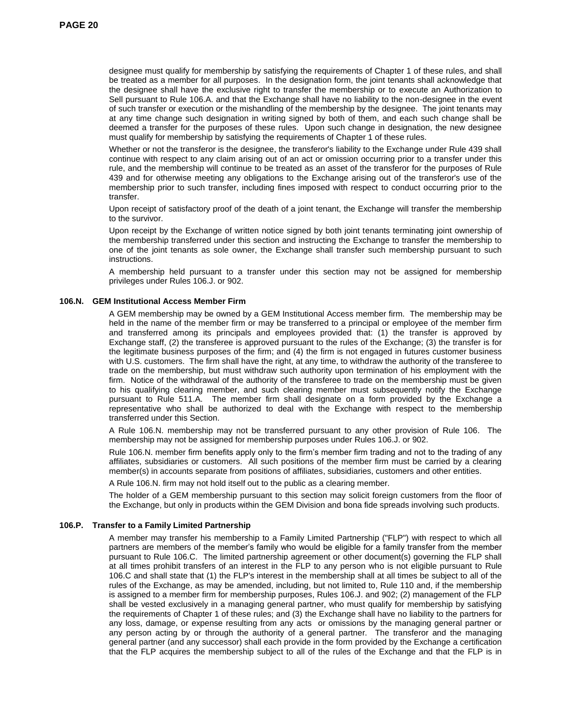designee must qualify for membership by satisfying the requirements of Chapter 1 of these rules, and shall be treated as a member for all purposes. In the designation form, the joint tenants shall acknowledge that the designee shall have the exclusive right to transfer the membership or to execute an Authorization to Sell pursuant to Rule 106.A. and that the Exchange shall have no liability to the non-designee in the event of such transfer or execution or the mishandling of the membership by the designee. The joint tenants may at any time change such designation in writing signed by both of them, and each such change shall be deemed a transfer for the purposes of these rules. Upon such change in designation, the new designee must qualify for membership by satisfying the requirements of Chapter 1 of these rules.

Whether or not the transferor is the designee, the transferor's liability to the Exchange under Rule 439 shall continue with respect to any claim arising out of an act or omission occurring prior to a transfer under this rule, and the membership will continue to be treated as an asset of the transferor for the purposes of Rule 439 and for otherwise meeting any obligations to the Exchange arising out of the transferor's use of the membership prior to such transfer, including fines imposed with respect to conduct occurring prior to the transfer.

Upon receipt of satisfactory proof of the death of a joint tenant, the Exchange will transfer the membership to the survivor.

Upon receipt by the Exchange of written notice signed by both joint tenants terminating joint ownership of the membership transferred under this section and instructing the Exchange to transfer the membership to one of the joint tenants as sole owner, the Exchange shall transfer such membership pursuant to such instructions.

A membership held pursuant to a transfer under this section may not be assigned for membership privileges under Rules 106.J. or 902.

### **106.N. GEM Institutional Access Member Firm**

A GEM membership may be owned by a GEM Institutional Access member firm. The membership may be held in the name of the member firm or may be transferred to a principal or employee of the member firm and transferred among its principals and employees provided that: (1) the transfer is approved by Exchange staff, (2) the transferee is approved pursuant to the rules of the Exchange; (3) the transfer is for the legitimate business purposes of the firm; and (4) the firm is not engaged in futures customer business with U.S. customers. The firm shall have the right, at any time, to withdraw the authority of the transferee to trade on the membership, but must withdraw such authority upon termination of his employment with the firm. Notice of the withdrawal of the authority of the transferee to trade on the membership must be given to his qualifying clearing member, and such clearing member must subsequently notify the Exchange pursuant to Rule 511.A. The member firm shall designate on a form provided by the Exchange a representative who shall be authorized to deal with the Exchange with respect to the membership transferred under this Section.

A Rule 106.N. membership may not be transferred pursuant to any other provision of Rule 106. The membership may not be assigned for membership purposes under Rules 106.J. or 902.

Rule 106.N. member firm benefits apply only to the firm's member firm trading and not to the trading of any affiliates, subsidiaries or customers. All such positions of the member firm must be carried by a clearing member(s) in accounts separate from positions of affiliates, subsidiaries, customers and other entities.

A Rule 106.N. firm may not hold itself out to the public as a clearing member.

The holder of a GEM membership pursuant to this section may solicit foreign customers from the floor of the Exchange, but only in products within the GEM Division and bona fide spreads involving such products.

### **106.P. Transfer to a Family Limited Partnership**

A member may transfer his membership to a Family Limited Partnership ("FLP") with respect to which all partners are members of the member's family who would be eligible for a family transfer from the member pursuant to Rule 106.C. The limited partnership agreement or other document(s) governing the FLP shall at all times prohibit transfers of an interest in the FLP to any person who is not eligible pursuant to Rule 106.C and shall state that (1) the FLP's interest in the membership shall at all times be subject to all of the rules of the Exchange, as may be amended, including, but not limited to, Rule 110 and, if the membership is assigned to a member firm for membership purposes, Rules 106.J. and 902; (2) management of the FLP shall be vested exclusively in a managing general partner, who must qualify for membership by satisfying the requirements of Chapter 1 of these rules; and (3) the Exchange shall have no liability to the partners for any loss, damage, or expense resulting from any acts or omissions by the managing general partner or any person acting by or through the authority of a general partner. The transferor and the managing general partner (and any successor) shall each provide in the form provided by the Exchange a certification that the FLP acquires the membership subject to all of the rules of the Exchange and that the FLP is in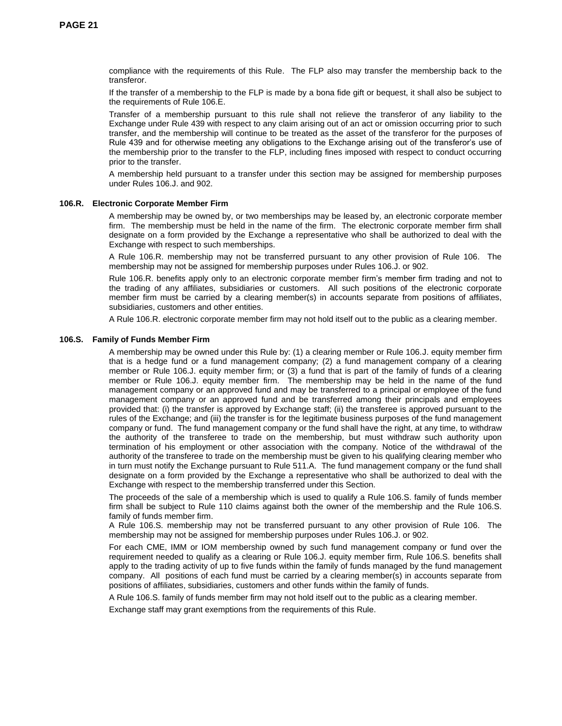compliance with the requirements of this Rule. The FLP also may transfer the membership back to the transferor.

If the transfer of a membership to the FLP is made by a bona fide gift or bequest, it shall also be subject to the requirements of Rule 106.E.

Transfer of a membership pursuant to this rule shall not relieve the transferor of any liability to the Exchange under Rule 439 with respect to any claim arising out of an act or omission occurring prior to such transfer, and the membership will continue to be treated as the asset of the transferor for the purposes of Rule 439 and for otherwise meeting any obligations to the Exchange arising out of the transferor's use of the membership prior to the transfer to the FLP, including fines imposed with respect to conduct occurring prior to the transfer.

A membership held pursuant to a transfer under this section may be assigned for membership purposes under Rules 106.J. and 902.

#### **106.R. Electronic Corporate Member Firm**

A membership may be owned by, or two memberships may be leased by, an electronic corporate member firm. The membership must be held in the name of the firm. The electronic corporate member firm shall designate on a form provided by the Exchange a representative who shall be authorized to deal with the Exchange with respect to such memberships.

A Rule 106.R. membership may not be transferred pursuant to any other provision of Rule 106. The membership may not be assigned for membership purposes under Rules 106.J. or 902.

Rule 106.R. benefits apply only to an electronic corporate member firm's member firm trading and not to the trading of any affiliates, subsidiaries or customers. All such positions of the electronic corporate member firm must be carried by a clearing member(s) in accounts separate from positions of affiliates, subsidiaries, customers and other entities.

A Rule 106.R. electronic corporate member firm may not hold itself out to the public as a clearing member.

### **106.S. Family of Funds Member Firm**

A membership may be owned under this Rule by: (1) a clearing member or Rule 106.J. equity member firm that is a hedge fund or a fund management company; (2) a fund management company of a clearing member or Rule 106.J. equity member firm; or (3) a fund that is part of the family of funds of a clearing member or Rule 106.J. equity member firm. The membership may be held in the name of the fund management company or an approved fund and may be transferred to a principal or employee of the fund management company or an approved fund and be transferred among their principals and employees provided that: (i) the transfer is approved by Exchange staff; (ii) the transferee is approved pursuant to the rules of the Exchange; and (iii) the transfer is for the legitimate business purposes of the fund management company or fund. The fund management company or the fund shall have the right, at any time, to withdraw the authority of the transferee to trade on the membership, but must withdraw such authority upon termination of his employment or other association with the company. Notice of the withdrawal of the authority of the transferee to trade on the membership must be given to his qualifying clearing member who in turn must notify the Exchange pursuant to Rule 511.A. The fund management company or the fund shall designate on a form provided by the Exchange a representative who shall be authorized to deal with the Exchange with respect to the membership transferred under this Section.

The proceeds of the sale of a membership which is used to qualify a Rule 106.S. family of funds member firm shall be subject to Rule 110 claims against both the owner of the membership and the Rule 106.S. family of funds member firm.

A Rule 106.S. membership may not be transferred pursuant to any other provision of Rule 106. The membership may not be assigned for membership purposes under Rules 106.J. or 902.

For each CME, IMM or IOM membership owned by such fund management company or fund over the requirement needed to qualify as a clearing or Rule 106.J. equity member firm, Rule 106.S. benefits shall apply to the trading activity of up to five funds within the family of funds managed by the fund management company. All positions of each fund must be carried by a clearing member(s) in accounts separate from positions of affiliates, subsidiaries, customers and other funds within the family of funds.

A Rule 106.S. family of funds member firm may not hold itself out to the public as a clearing member.

Exchange staff may grant exemptions from the requirements of this Rule.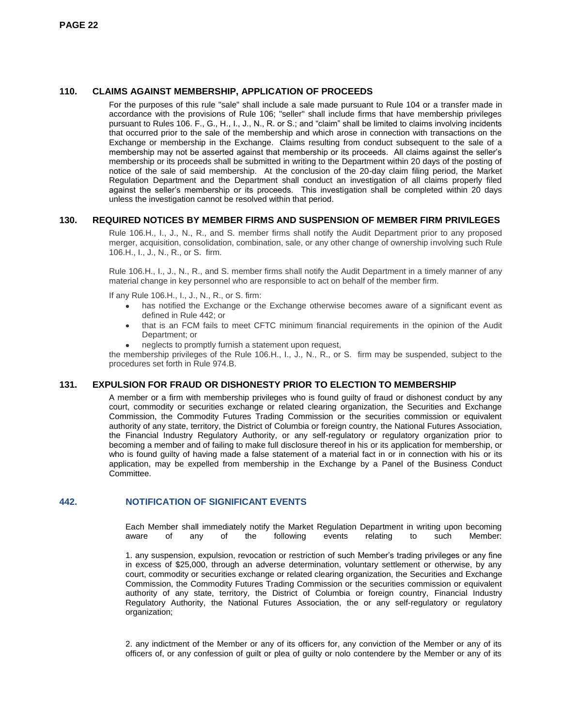# **110. CLAIMS AGAINST MEMBERSHIP, APPLICATION OF PROCEEDS**

For the purposes of this rule "sale" shall include a sale made pursuant to Rule 104 or a transfer made in accordance with the provisions of Rule 106; "seller" shall include firms that have membership privileges pursuant to Rules 106. F., G., H., I., J., N., R. or S.; and "claim" shall be limited to claims involving incidents that occurred prior to the sale of the membership and which arose in connection with transactions on the Exchange or membership in the Exchange. Claims resulting from conduct subsequent to the sale of a membership may not be asserted against that membership or its proceeds. All claims against the seller's membership or its proceeds shall be submitted in writing to the Department within 20 days of the posting of notice of the sale of said membership. At the conclusion of the 20-day claim filing period, the Market Regulation Department and the Department shall conduct an investigation of all claims properly filed against the seller's membership or its proceeds. This investigation shall be completed within 20 days unless the investigation cannot be resolved within that period.

# **130. REQUIRED NOTICES BY MEMBER FIRMS AND SUSPENSION OF MEMBER FIRM PRIVILEGES**

Rule 106.H., I., J., N., R., and S. member firms shall notify the Audit Department prior to any proposed merger, acquisition, consolidation, combination, sale, or any other change of ownership involving such Rule 106.H., I., J., N., R., or S. firm.

Rule 106.H., I., J., N., R., and S. member firms shall notify the Audit Department in a timely manner of any material change in key personnel who are responsible to act on behalf of the member firm.

If any Rule 106.H., I., J., N., R., or S. firm:

- has notified the Exchange or the Exchange otherwise becomes aware of a significant event as  $\bullet$ defined in Rule 442; or
- that is an FCM fails to meet CFTC minimum financial requirements in the opinion of the Audit  $\bullet$ Department; or
- neglects to promptly furnish a statement upon request,

the membership privileges of the Rule 106.H., I., J., N., R., or S. firm may be suspended, subject to the procedures set forth in Rule 974.B.

# **131. EXPULSION FOR FRAUD OR DISHONESTY PRIOR TO ELECTION TO MEMBERSHIP**

A member or a firm with membership privileges who is found guilty of fraud or dishonest conduct by any court, commodity or securities exchange or related clearing organization, the Securities and Exchange Commission, the Commodity Futures Trading Commission or the securities commission or equivalent authority of any state, territory, the District of Columbia or foreign country, the National Futures Association, the Financial Industry Regulatory Authority, or any self-regulatory or regulatory organization prior to becoming a member and of failing to make full disclosure thereof in his or its application for membership, or who is found guilty of having made a false statement of a material fact in or in connection with his or its application, may be expelled from membership in the Exchange by a Panel of the Business Conduct Committee.

# **442. NOTIFICATION OF SIGNIFICANT EVENTS**

Each Member shall immediately notify the Market Regulation Department in writing upon becoming aware of any of the following events relating to such Member:

1. any suspension, expulsion, revocation or restriction of such Member's trading privileges or any fine in excess of \$25,000, through an adverse determination, voluntary settlement or otherwise, by any court, commodity or securities exchange or related clearing organization, the Securities and Exchange Commission, the Commodity Futures Trading Commission or the securities commission or equivalent authority of any state, territory, the District of Columbia or foreign country, Financial Industry Regulatory Authority, the National Futures Association, the or any self-regulatory or regulatory organization;

2. any indictment of the Member or any of its officers for, any conviction of the Member or any of its officers of, or any confession of guilt or plea of guilty or nolo contendere by the Member or any of its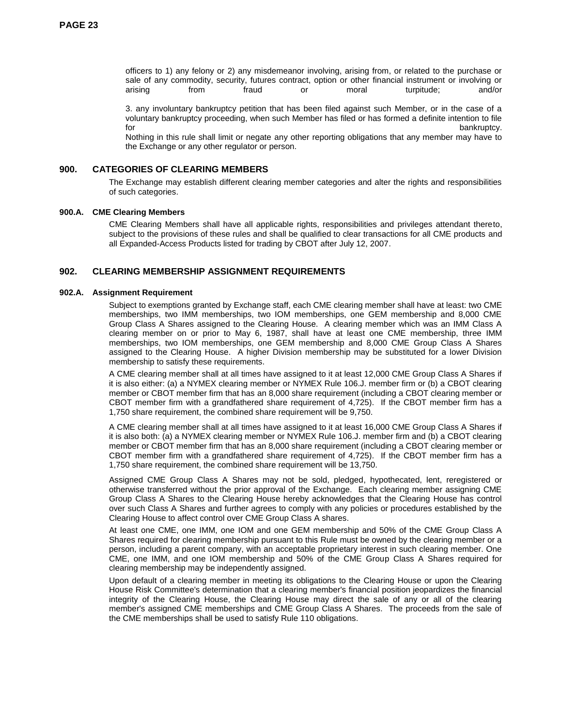officers to 1) any felony or 2) any misdemeanor involving, arising from, or related to the purchase or sale of any commodity, security, futures contract, option or other financial instrument or involving or arising from fraud or moral turpitude; and/or

3. any involuntary bankruptcy petition that has been filed against such Member, or in the case of a voluntary bankruptcy proceeding, when such Member has filed or has formed a definite intention to file for the control of the control of the control of the control of the control of the control of the control of the control of the control of the control of the control of the control of the control of the control of the cont

Nothing in this rule shall limit or negate any other reporting obligations that any member may have to the Exchange or any other regulator or person.

### **900. CATEGORIES OF CLEARING MEMBERS**

The Exchange may establish different clearing member categories and alter the rights and responsibilities of such categories.

### **900.A. CME Clearing Members**

CME Clearing Members shall have all applicable rights, responsibilities and privileges attendant thereto, subject to the provisions of these rules and shall be qualified to clear transactions for all CME products and all Expanded-Access Products listed for trading by CBOT after July 12, 2007.

# **902. CLEARING MEMBERSHIP ASSIGNMENT REQUIREMENTS**

### **902.A. Assignment Requirement**

Subject to exemptions granted by Exchange staff, each CME clearing member shall have at least: two CME memberships, two IMM memberships, two IOM memberships, one GEM membership and 8,000 CME Group Class A Shares assigned to the Clearing House. A clearing member which was an IMM Class A clearing member on or prior to May 6, 1987, shall have at least one CME membership, three IMM memberships, two IOM memberships, one GEM membership and 8,000 CME Group Class A Shares assigned to the Clearing House. A higher Division membership may be substituted for a lower Division membership to satisfy these requirements.

A CME clearing member shall at all times have assigned to it at least 12,000 CME Group Class A Shares if it is also either: (a) a NYMEX clearing member or NYMEX Rule 106.J. member firm or (b) a CBOT clearing member or CBOT member firm that has an 8,000 share requirement (including a CBOT clearing member or CBOT member firm with a grandfathered share requirement of 4,725). If the CBOT member firm has a 1,750 share requirement, the combined share requirement will be 9,750.

A CME clearing member shall at all times have assigned to it at least 16,000 CME Group Class A Shares if it is also both: (a) a NYMEX clearing member or NYMEX Rule 106.J. member firm and (b) a CBOT clearing member or CBOT member firm that has an 8,000 share requirement (including a CBOT clearing member or CBOT member firm with a grandfathered share requirement of 4,725). If the CBOT member firm has a 1,750 share requirement, the combined share requirement will be 13,750.

Assigned CME Group Class A Shares may not be sold, pledged, hypothecated, lent, reregistered or otherwise transferred without the prior approval of the Exchange. Each clearing member assigning CME Group Class A Shares to the Clearing House hereby acknowledges that the Clearing House has control over such Class A Shares and further agrees to comply with any policies or procedures established by the Clearing House to affect control over CME Group Class A shares.

At least one CME, one IMM, one IOM and one GEM membership and 50% of the CME Group Class A Shares required for clearing membership pursuant to this Rule must be owned by the clearing member or a person, including a parent company, with an acceptable proprietary interest in such clearing member. One CME, one IMM, and one IOM membership and 50% of the CME Group Class A Shares required for clearing membership may be independently assigned.

Upon default of a clearing member in meeting its obligations to the Clearing House or upon the Clearing House Risk Committee's determination that a clearing member's financial position jeopardizes the financial integrity of the Clearing House, the Clearing House may direct the sale of any or all of the clearing member's assigned CME memberships and CME Group Class A Shares. The proceeds from the sale of the CME memberships shall be used to satisfy Rule 110 obligations.